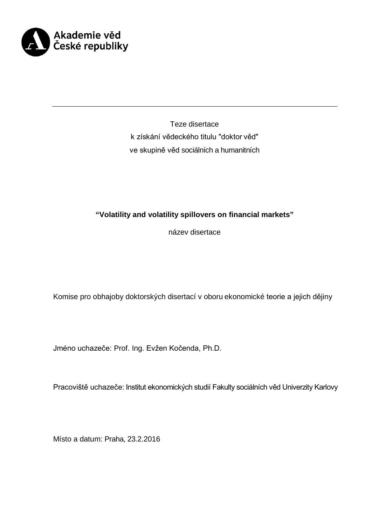

Teze disertace k získání vědeckého titulu "doktor věd" ve skupině věd sociálních a humanitních

# **"Volatility and volatility spillovers on financial markets"**

název disertace

Komise pro obhajoby doktorských disertací v oboru ekonomické teorie a jejich dějiny

Jméno uchazeče: Prof. Ing. Evžen Kočenda, Ph.D.

Pracoviště uchazeče: Institut ekonomických studií Fakulty sociálních věd Univerzity Karlovy

Místo a datum: Praha, 23.2.2016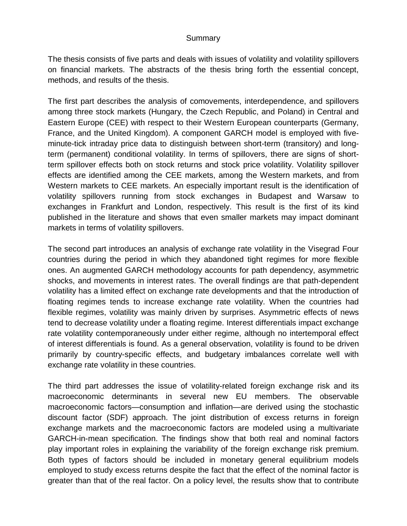### **Summary**

The thesis consists of five parts and deals with issues of volatility and volatility spillovers on financial markets. The abstracts of the thesis bring forth the essential concept, methods, and results of the thesis.

The first part describes the analysis of comovements, interdependence, and spillovers among three stock markets (Hungary, the Czech Republic, and Poland) in Central and Eastern Europe (CEE) with respect to their Western European counterparts (Germany, France, and the United Kingdom). A component GARCH model is employed with fiveminute-tick intraday price data to distinguish between short-term (transitory) and longterm (permanent) conditional volatility. In terms of spillovers, there are signs of shortterm spillover effects both on stock returns and stock price volatility. Volatility spillover effects are identified among the CEE markets, among the Western markets, and from Western markets to CEE markets. An especially important result is the identification of volatility spillovers running from stock exchanges in Budapest and Warsaw to exchanges in Frankfurt and London, respectively. This result is the first of its kind published in the literature and shows that even smaller markets may impact dominant markets in terms of volatility spillovers.

The second part introduces an analysis of exchange rate volatility in the Visegrad Four countries during the period in which they abandoned tight regimes for more flexible ones. An augmented GARCH methodology accounts for path dependency, asymmetric shocks, and movements in interest rates. The overall findings are that path-dependent volatility has a limited effect on exchange rate developments and that the introduction of floating regimes tends to increase exchange rate volatility. When the countries had flexible regimes, volatility was mainly driven by surprises. Asymmetric effects of news tend to decrease volatility under a floating regime. Interest differentials impact exchange rate volatility contemporaneously under either regime, although no intertemporal effect of interest differentials is found. As a general observation, volatility is found to be driven primarily by country-specific effects, and budgetary imbalances correlate well with exchange rate volatility in these countries.

The third part addresses the issue of volatility-related foreign exchange risk and its macroeconomic determinants in several new EU members. The observable macroeconomic factors—consumption and inflation—are derived using the stochastic discount factor (SDF) approach. The joint distribution of excess returns in foreign exchange markets and the macroeconomic factors are modeled using a multivariate GARCH-in-mean specification. The findings show that both real and nominal factors play important roles in explaining the variability of the foreign exchange risk premium. Both types of factors should be included in monetary general equilibrium models employed to study excess returns despite the fact that the effect of the nominal factor is greater than that of the real factor. On a policy level, the results show that to contribute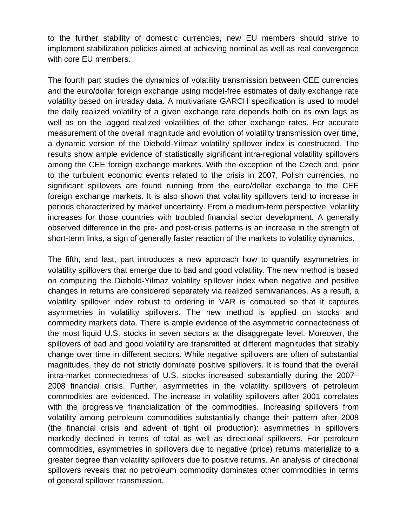to the further stability of domestic currencies, new EU members should strive to implement stabilization policies aimed at achieving nominal as well as real convergence with core EU members.

The fourth part studies the dynamics of volatility transmission between CEE currencies and the euro/dollar foreign exchange using model-free estimates of daily exchange rate volatility based on intraday data. A multivariate GARCH specification is used to model the daily realized volatility of a given exchange rate depends both on its own lags as well as on the lagged realized volatilities of the other exchange rates. For accurate measurement of the overall magnitude and evolution of volatility transmission over time, a dynamic version of the Diebold-Yilmaz volatility spillover index is constructed. The results show ample evidence of statistically significant intra-regional volatility spillovers among the CEE foreign exchange markets. With the exception of the Czech and, prior to the turbulent economic events related to the crisis in 2007, Polish currencies, no significant spillovers are found running from the euro/dollar exchange to the CEE foreign exchange markets. It is also shown that volatility spillovers tend to increase in periods characterized by market uncertainty. From a medium-term perspective, volatility increases for those countries with troubled financial sector development. A generally observed difference in the pre- and post-crisis patterns is an increase in the strength of short-term links, a sign of generally faster reaction of the markets to volatility dynamics.

The fifth, and last, part introduces a new approach how to quantify asymmetries in volatility spillovers that emerge due to bad and good volatility. The new method is based on computing the Diebold-Yilmaz volatility spillover index when negative and positive changes in returns are considered separately via realized semivariances. As a result, a volatility spillover index robust to ordering in VAR is computed so that it captures asymmetries in volatility spillovers. The new method is applied on stocks and commodity markets data. There is ample evidence of the asymmetric connectedness of the most liquid U.S. stocks in seven sectors at the disaggregate level. Moreover, the spillovers of bad and good volatility are transmitted at different magnitudes that sizably change over time in different sectors. While negative spillovers are often of substantial magnitudes, they do not strictly dominate positive spillovers. It is found that the overall intra-market connectedness of U.S. stocks increased substantially during the 2007– 2008 financial crisis. Further, asymmetries in the volatility spillovers of petroleum commodities are evidenced. The increase in volatility spillovers after 2001 correlates with the progressive financialization of the commodities. Increasing spillovers from volatility among petroleum commodities substantially change their pattern after 2008 (the financial crisis and advent of tight oil production): asymmetries in spillovers markedly declined in terms of total as well as directional spillovers. For petroleum commodities, asymmetries in spillovers due to negative (price) returns materialize to a greater degree than volatility spillovers due to positive returns. An analysis of directional spillovers reveals that no petroleum commodity dominates other commodities in terms of general spillover transmission.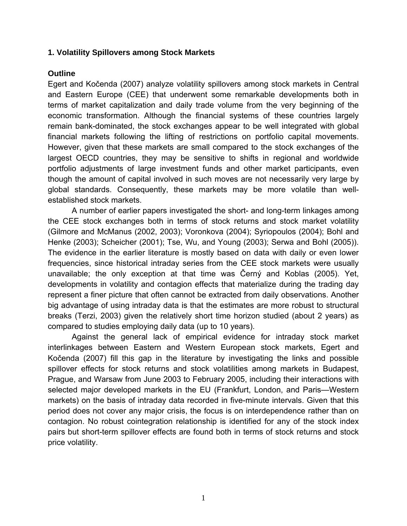## **1. Volatility Spillovers among Stock Markets**

## **Outline**

Egert and Kočenda (2007) analyze volatility spillovers among stock markets in Central and Eastern Europe (CEE) that underwent some remarkable developments both in terms of market capitalization and daily trade volume from the very beginning of the economic transformation. Although the financial systems of these countries largely remain bank-dominated, the stock exchanges appear to be well integrated with global financial markets following the lifting of restrictions on portfolio capital movements. However, given that these markets are small compared to the stock exchanges of the largest OECD countries, they may be sensitive to shifts in regional and worldwide portfolio adjustments of large investment funds and other market participants, even though the amount of capital involved in such moves are not necessarily very large by global standards. Consequently, these markets may be more volatile than wellestablished stock markets.

A number of earlier papers investigated the short- and long-term linkages among the CEE stock exchanges both in terms of stock returns and stock market volatility (Gilmore and McManus (2002, 2003); Voronkova (2004); Syriopoulos (2004); Bohl and Henke (2003); Scheicher (2001); Tse, Wu, and Young (2003); Serwa and Bohl (2005)). The evidence in the earlier literature is mostly based on data with daily or even lower frequencies, since historical intraday series from the CEE stock markets were usually unavailable; the only exception at that time was Černý and Koblas (2005). Yet, developments in volatility and contagion effects that materialize during the trading day represent a finer picture that often cannot be extracted from daily observations. Another big advantage of using intraday data is that the estimates are more robust to structural breaks (Terzi, 2003) given the relatively short time horizon studied (about 2 years) as compared to studies employing daily data (up to 10 years).

Against the general lack of empirical evidence for intraday stock market interlinkages between Eastern and Western European stock markets, Egert and Kočenda (2007) fill this gap in the literature by investigating the links and possible spillover effects for stock returns and stock volatilities among markets in Budapest, Prague, and Warsaw from June 2003 to February 2005, including their interactions with selected major developed markets in the EU (Frankfurt, London, and Paris—Western markets) on the basis of intraday data recorded in five-minute intervals. Given that this period does not cover any major crisis, the focus is on interdependence rather than on contagion. No robust cointegration relationship is identified for any of the stock index pairs but short-term spillover effects are found both in terms of stock returns and stock price volatility.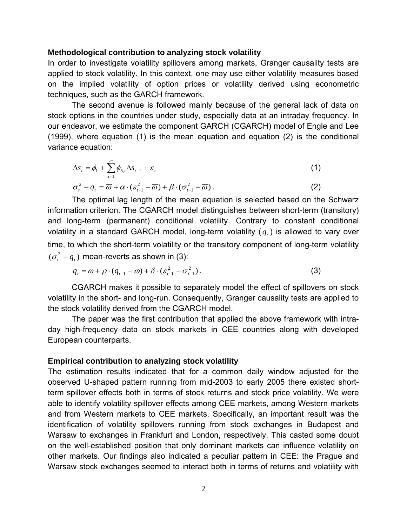#### **Methodological contribution to analyzing stock volatility**

In order to investigate volatility spillovers among markets, Granger causality tests are applied to stock volatility. In this context, one may use either volatility measures based on the implied volatility of option prices or volatility derived using econometric techniques, such as the GARCH framework.

The second avenue is followed mainly because of the general lack of data on stock options in the countries under study, especially data at an intraday frequency. In our endeavor, we estimate the component GARCH (CGARCH) model of Engle and Lee (1999), where equation (1) is the mean equation and equation (2) is the conditional variance equation:

$$
\Delta s_{t} = \phi_{1} + \sum_{i=1}^{m} \phi_{5,i} \Delta s_{t-i} + \varepsilon_{t}
$$
\n
$$
\sigma_{t}^{2} - q_{t} = \overline{\omega} + \alpha \cdot (\varepsilon_{t-1}^{2} - \overline{\omega}) + \beta \cdot (\sigma_{t-1}^{2} - \overline{\omega}).
$$
\n(1)

The optimal lag length of the mean equation is selected based on the Schwarz information criterion. The CGARCH model distinguishes between short-term (transitory) and long-term (permanent) conditional volatility. Contrary to constant conditional volatility in a standard GARCH model, long-term volatility  $(q_t)$  is allowed to vary over time, to which the short-term volatility or the transitory component of long-term volatility  $(\sigma_t^2 - q_t)$  mean-reverts as shown in (3):

$$
q_{t} = \omega + \rho \cdot (q_{t-1} - \omega) + \delta \cdot (\varepsilon_{t-1}^{2} - \sigma_{t-1}^{2}).
$$
\n(3)

CGARCH makes it possible to separately model the effect of spillovers on stock volatility in the short- and long-run. Consequently, Granger causality tests are applied to the stock volatility derived from the CGARCH model.

The paper was the first contribution that applied the above framework with intraday high-frequency data on stock markets in CEE countries along with developed European counterparts.

#### **Empirical contribution to analyzing stock volatility**

The estimation results indicated that for a common daily window adjusted for the observed U-shaped pattern running from mid-2003 to early 2005 there existed shortterm spillover effects both in terms of stock returns and stock price volatility. We were able to identify volatility spillover effects among CEE markets, among Western markets and from Western markets to CEE markets. Specifically, an important result was the identification of volatility spillovers running from stock exchanges in Budapest and Warsaw to exchanges in Frankfurt and London, respectively. This casted some doubt on the well-established position that only dominant markets can influence volatility on other markets. Our findings also indicated a peculiar pattern in CEE: the Prague and Warsaw stock exchanges seemed to interact both in terms of returns and volatility with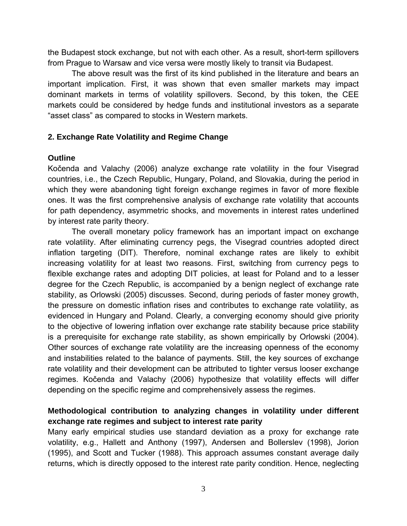the Budapest stock exchange, but not with each other. As a result, short-term spillovers from Prague to Warsaw and vice versa were mostly likely to transit via Budapest.

The above result was the first of its kind published in the literature and bears an important implication. First, it was shown that even smaller markets may impact dominant markets in terms of volatility spillovers. Second, by this token, the CEE markets could be considered by hedge funds and institutional investors as a separate "asset class" as compared to stocks in Western markets.

# **2. Exchange Rate Volatility and Regime Change**

## **Outline**

Kočenda and Valachy (2006) analyze exchange rate volatility in the four Visegrad countries, i.e., the Czech Republic, Hungary, Poland, and Slovakia, during the period in which they were abandoning tight foreign exchange regimes in favor of more flexible ones. It was the first comprehensive analysis of exchange rate volatility that accounts for path dependency, asymmetric shocks, and movements in interest rates underlined by interest rate parity theory.

The overall monetary policy framework has an important impact on exchange rate volatility. After eliminating currency pegs, the Visegrad countries adopted direct inflation targeting (DIT). Therefore, nominal exchange rates are likely to exhibit increasing volatility for at least two reasons. First, switching from currency pegs to flexible exchange rates and adopting DIT policies, at least for Poland and to a lesser degree for the Czech Republic, is accompanied by a benign neglect of exchange rate stability, as Orlowski (2005) discusses. Second, during periods of faster money growth, the pressure on domestic inflation rises and contributes to exchange rate volatility, as evidenced in Hungary and Poland. Clearly, a converging economy should give priority to the objective of lowering inflation over exchange rate stability because price stability is a prerequisite for exchange rate stability, as shown empirically by Orlowski (2004). Other sources of exchange rate volatility are the increasing openness of the economy and instabilities related to the balance of payments. Still, the key sources of exchange rate volatility and their development can be attributed to tighter versus looser exchange regimes. Kočenda and Valachy (2006) hypothesize that volatility effects will differ depending on the specific regime and comprehensively assess the regimes.

# **Methodological contribution to analyzing changes in volatility under different exchange rate regimes and subject to interest rate parity**

Many early empirical studies use standard deviation as a proxy for exchange rate volatility, e.g., Hallett and Anthony (1997), Andersen and Bollerslev (1998), Jorion (1995), and Scott and Tucker (1988). This approach assumes constant average daily returns, which is directly opposed to the interest rate parity condition. Hence, neglecting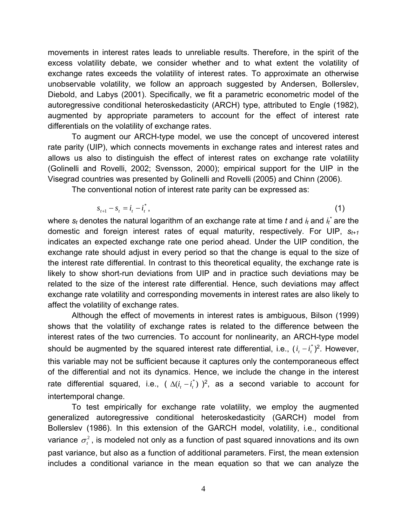movements in interest rates leads to unreliable results. Therefore, in the spirit of the excess volatility debate, we consider whether and to what extent the volatility of exchange rates exceeds the volatility of interest rates. To approximate an otherwise unobservable volatility, we follow an approach suggested by Andersen, Bollerslev, Diebold, and Labys (2001). Specifically, we fit a parametric econometric model of the autoregressive conditional heteroskedasticity (ARCH) type, attributed to Engle (1982), augmented by appropriate parameters to account for the effect of interest rate differentials on the volatility of exchange rates.

To augment our ARCH-type model, we use the concept of uncovered interest rate parity (UIP), which connects movements in exchange rates and interest rates and allows us also to distinguish the effect of interest rates on exchange rate volatility (Golinelli and Rovelli, 2002; Svensson, 2000); empirical support for the UIP in the Visegrad countries was presented by Golinelli and Rovelli (2005) and Chinn (2006).

The conventional notion of interest rate parity can be expressed as:

$$
s_{t+1} - s_t = i_t - i_t^*,
$$
 (1)

where  $s_t$  denotes the natural logarithm of an exchange rate at time  $t$  and  $i_t$  and  $i_t$ <sup>\*</sup> are the domestic and foreign interest rates of equal maturity, respectively. For UIP, *st+1* indicates an expected exchange rate one period ahead. Under the UIP condition, the exchange rate should adjust in every period so that the change is equal to the size of the interest rate differential. In contrast to this theoretical equality, the exchange rate is likely to show short-run deviations from UIP and in practice such deviations may be related to the size of the interest rate differential. Hence, such deviations may affect exchange rate volatility and corresponding movements in interest rates are also likely to affect the volatility of exchange rates.

Although the effect of movements in interest rates is ambiguous, Bilson (1999) shows that the volatility of exchange rates is related to the difference between the interest rates of the two currencies. To account for nonlinearity, an ARCH-type model should be augmented by the squared interest rate differential, i.e.,  $(i_t - i_t^*)^2$ . However, this variable may not be sufficient because it captures only the contemporaneous effect of the differential and not its dynamics. Hence, we include the change in the interest rate differential squared, i.e.,  $(\Delta(i_t - i_t^*))^2$ , as a second variable to account for intertemporal change.

To test empirically for exchange rate volatility, we employ the augmented generalized autoregressive conditional heteroskedasticity (GARCH) model from Bollerslev (1986). In this extension of the GARCH model, volatility, i.e., conditional variance  $\sigma_t^2$ , is modeled not only as a function of past squared innovations and its own past variance, but also as a function of additional parameters. First, the mean extension includes a conditional variance in the mean equation so that we can analyze the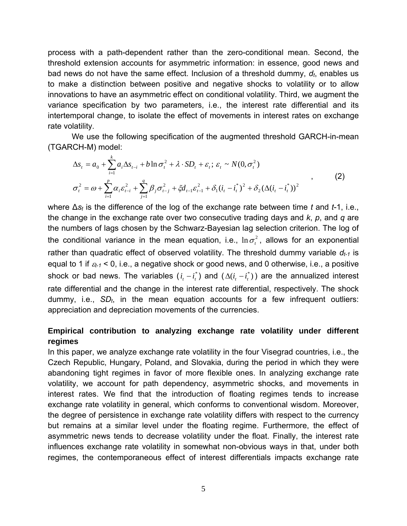process with a path-dependent rather than the zero-conditional mean. Second, the threshold extension accounts for asymmetric information: in essence, good news and bad news do not have the same effect. Inclusion of a threshold dummy,  $d_t$ , enables us to make a distinction between positive and negative shocks to volatility or to allow innovations to have an asymmetric effect on conditional volatility. Third, we augment the variance specification by two parameters, i.e., the interest rate differential and its intertemporal change, to isolate the effect of movements in interest rates on exchange rate volatility.

We use the following specification of the augmented threshold GARCH-in-mean (TGARCH-M) model:

$$
\Delta s_{t} = a_{0} + \sum_{i=1}^{k} a_{i} \Delta s_{t-i} + b \ln \sigma_{t}^{2} + \lambda \cdot SD_{t} + \varepsilon_{t}; \varepsilon_{t} \sim N(0, \sigma_{t}^{2})
$$
  

$$
\sigma_{t}^{2} = \omega + \sum_{i=1}^{p} \alpha_{i} \varepsilon_{t-i}^{2} + \sum_{j=1}^{q} \beta_{j} \sigma_{t-j}^{2} + \xi d_{t-1} \varepsilon_{t-1}^{2} + \delta_{1} (i_{t} - i_{t}^{*})^{2} + \delta_{2} (\Delta (i_{t} - i_{t}^{*}))^{2}
$$
\n(2)

where ∆*st* is the difference of the log of the exchange rate between time *t* and *t*-1, i.e., the change in the exchange rate over two consecutive trading days and *k*, *p*, and *q* are the numbers of lags chosen by the Schwarz-Bayesian lag selection criterion. The log of the conditional variance in the mean equation, i.e.,  $\ln \sigma_i^2$ , allows for an exponential rather than quadratic effect of observed volatility. The threshold dummy variable  $d_{t-1}$  is equal to 1 if  $\varepsilon_{t-1}$  < 0, i.e., a negative shock or good news, and 0 otherwise, i.e., a positive shock or bad news. The variables  $(i_t - i_t^*)$  and  $(\Delta(i_t - i_t^*))$  are the annualized interest rate differential and the change in the interest rate differential, respectively. The shock dummy, i.e., *SDt*, in the mean equation accounts for a few infrequent outliers: appreciation and depreciation movements of the currencies.

# **Empirical contribution to analyzing exchange rate volatility under different regimes**

In this paper, we analyze exchange rate volatility in the four Visegrad countries, i.e., the Czech Republic, Hungary, Poland, and Slovakia, during the period in which they were abandoning tight regimes in favor of more flexible ones. In analyzing exchange rate volatility, we account for path dependency, asymmetric shocks, and movements in interest rates. We find that the introduction of floating regimes tends to increase exchange rate volatility in general, which conforms to conventional wisdom. Moreover, the degree of persistence in exchange rate volatility differs with respect to the currency but remains at a similar level under the floating regime. Furthermore, the effect of asymmetric news tends to decrease volatility under the float. Finally, the interest rate influences exchange rate volatility in somewhat non-obvious ways in that, under both regimes, the contemporaneous effect of interest differentials impacts exchange rate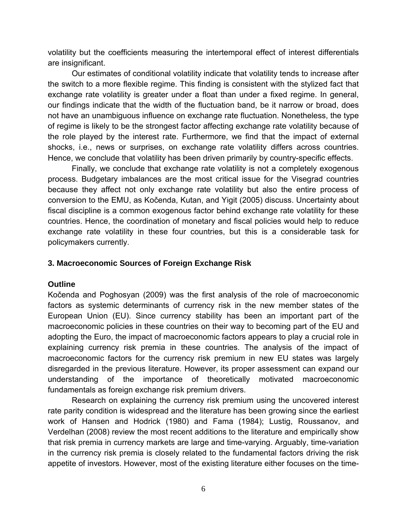volatility but the coefficients measuring the intertemporal effect of interest differentials are insignificant.

Our estimates of conditional volatility indicate that volatility tends to increase after the switch to a more flexible regime. This finding is consistent with the stylized fact that exchange rate volatility is greater under a float than under a fixed regime. In general, our findings indicate that the width of the fluctuation band, be it narrow or broad, does not have an unambiguous influence on exchange rate fluctuation. Nonetheless, the type of regime is likely to be the strongest factor affecting exchange rate volatility because of the role played by the interest rate. Furthermore, we find that the impact of external shocks, i.e., news or surprises, on exchange rate volatility differs across countries. Hence, we conclude that volatility has been driven primarily by country-specific effects.

Finally, we conclude that exchange rate volatility is not a completely exogenous process. Budgetary imbalances are the most critical issue for the Visegrad countries because they affect not only exchange rate volatility but also the entire process of conversion to the EMU, as Kočenda, Kutan, and Yigit (2005) discuss. Uncertainty about fiscal discipline is a common exogenous factor behind exchange rate volatility for these countries. Hence, the coordination of monetary and fiscal policies would help to reduce exchange rate volatility in these four countries, but this is a considerable task for policymakers currently.

# **3. Macroeconomic Sources of Foreign Exchange Risk**

## **Outline**

Kočenda and Poghosyan (2009) was the first analysis of the role of macroeconomic factors as systemic determinants of currency risk in the new member states of the European Union (EU). Since currency stability has been an important part of the macroeconomic policies in these countries on their way to becoming part of the EU and adopting the Euro, the impact of macroeconomic factors appears to play a crucial role in explaining currency risk premia in these countries. The analysis of the impact of macroeconomic factors for the currency risk premium in new EU states was largely disregarded in the previous literature. However, its proper assessment can expand our understanding of the importance of theoretically motivated macroeconomic fundamentals as foreign exchange risk premium drivers.

Research on explaining the currency risk premium using the uncovered interest rate parity condition is widespread and the literature has been growing since the earliest work of Hansen and Hodrick (1980) and Fama (1984); Lustig, Roussanov, and Verdelhan (2008) review the most recent additions to the literature and empirically show that risk premia in currency markets are large and time-varying. Arguably, time-variation in the currency risk premia is closely related to the fundamental factors driving the risk appetite of investors. However, most of the existing literature either focuses on the time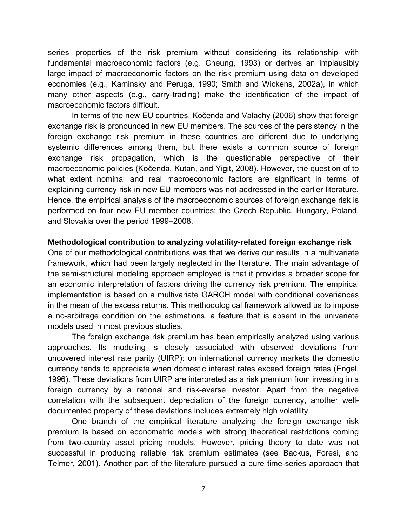series properties of the risk premium without considering its relationship with fundamental macroeconomic factors (e.g. Cheung, 1993) or derives an implausibly large impact of macroeconomic factors on the risk premium using data on developed economies (e.g., Kaminsky and Peruga, 1990; Smith and Wickens, 2002a), in which many other aspects (e.g., carry-trading) make the identification of the impact of macroeconomic factors difficult.

In terms of the new EU countries, Kočenda and Valachy (2006) show that foreign exchange risk is pronounced in new EU members. The sources of the persistency in the foreign exchange risk premium in these countries are different due to underlying systemic differences among them, but there exists a common source of foreign exchange risk propagation, which is the questionable perspective of their macroeconomic policies (Kočenda, Kutan, and Yigit, 2008). However, the question of to what extent nominal and real macroeconomic factors are significant in terms of explaining currency risk in new EU members was not addressed in the earlier literature. Hence, the empirical analysis of the macroeconomic sources of foreign exchange risk is performed on four new EU member countries: the Czech Republic, Hungary, Poland, and Slovakia over the period 1999–2008.

### **Methodological contribution to analyzing volatility-related foreign exchange risk**

One of our methodological contributions was that we derive our results in a multivariate framework, which had been largely neglected in the literature. The main advantage of the semi-structural modeling approach employed is that it provides a broader scope for an economic interpretation of factors driving the currency risk premium. The empirical implementation is based on a multivariate GARCH model with conditional covariances in the mean of the excess returns. This methodological framework allowed us to impose a no-arbitrage condition on the estimations, a feature that is absent in the univariate models used in most previous studies.

The foreign exchange risk premium has been empirically analyzed using various approaches. Its modeling is closely associated with observed deviations from uncovered interest rate parity (UIRP): on international currency markets the domestic currency tends to appreciate when domestic interest rates exceed foreign rates (Engel, 1996). These deviations from UIRP are interpreted as a risk premium from investing in a foreign currency by a rational and risk-averse investor. Apart from the negative correlation with the subsequent depreciation of the foreign currency, another welldocumented property of these deviations includes extremely high volatility.

One branch of the empirical literature analyzing the foreign exchange risk premium is based on econometric models with strong theoretical restrictions coming from two-country asset pricing models. However, pricing theory to date was not successful in producing reliable risk premium estimates (see Backus, Foresi, and Telmer, 2001). Another part of the literature pursued a pure time-series approach that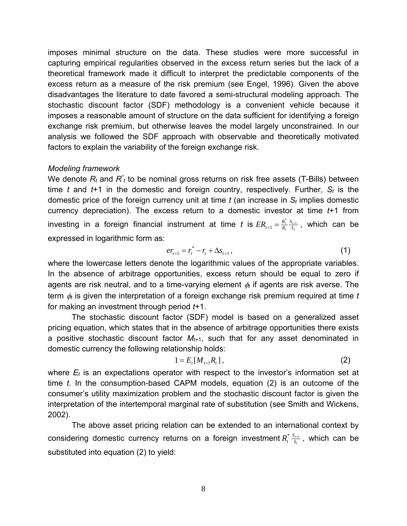imposes minimal structure on the data. These studies were more successful in capturing empirical regularities observed in the excess return series but the lack of a theoretical framework made it difficult to interpret the predictable components of the excess return as a measure of the risk premium (see Engel, 1996). Given the above disadvantages the literature to date favored a semi-structural modeling approach. The stochastic discount factor (SDF) methodology is a convenient vehicle because it imposes a reasonable amount of structure on the data sufficient for identifying a foreign exchange risk premium, but otherwise leaves the model largely unconstrained. In our analysis we followed the SDF approach with observable and theoretically motivated factors to explain the variability of the foreign exchange risk.

## *Modeling framework*

We denote  $R_t$  and  $R^*$ <sub>t</sub> to be nominal gross returns on risk free assets (T-Bills) between time *t* and  $t+1$  in the domestic and foreign country, respectively. Further,  $S_t$  is the domestic price of the foreign currency unit at time *t* (an increase in *St* implies domestic currency depreciation). The excess return to a domestic investor at time *t*+1 from investing in a foreign financial instrument at time t is  $ER_{t+1} = \frac{R_t}{R_t} \frac{S_{t+1}}{S_t}$ *t*  $\frac{t}{t}$   $\frac{S_t}{S}$ *S*  $ER_{t+1} = \frac{R_t^*}{R_t} \frac{S_{t+1}}{S_t}$ , which can be expressed in logarithmic form as:

$$
er_{t+1} = r_t^* - r_t + \Delta s_{t+1}, \qquad (1)
$$

where the lowercase letters denote the logarithmic values of the appropriate variables. In the absence of arbitrage opportunities, excess return should be equal to zero if agents are risk neutral, and to a time-varying element  $\phi_i$  if agents are risk averse. The term  $\phi_t$  is given the interpretation of a foreign exchange risk premium required at time t for making an investment through period *t*+1.

The stochastic discount factor (SDF) model is based on a generalized asset pricing equation, which states that in the absence of arbitrage opportunities there exists a positive stochastic discount factor *Mt+*1, such that for any asset denominated in domestic currency the following relationship holds:

$$
1 = E_t[M_{t+1}R_t], \t\t(2)
$$

where  $E_t$  is an expectations operator with respect to the investor's information set at time *t*. In the consumption-based CAPM models, equation (2) is an outcome of the consumer's utility maximization problem and the stochastic discount factor is given the interpretation of the intertemporal marginal rate of substitution (see Smith and Wickens, 2002).

The above asset pricing relation can be extended to an international context by considering domestic currency returns on a foreign investment  $R_t^* \frac{S_{t+1}}{S_t}$ , which can be substituted into equation (2) to yield: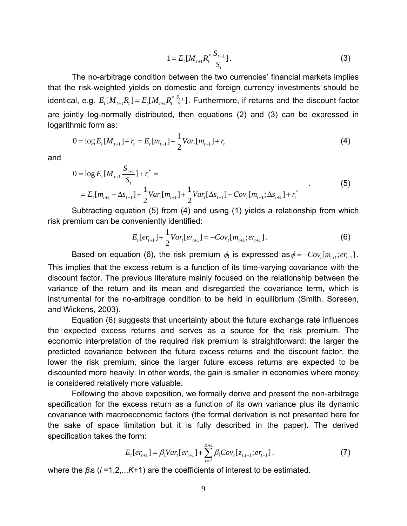$$
1 = E_t[M_{t+1}R_t^* \frac{S_{t+1}}{S_t}].
$$
\n(3)

The no-arbitrage condition between the two currencies' financial markets implies that the risk-weighted yields on domestic and foreign currency investments should be identical, e.g.  $E_t[M_{t+1}R_t] = E_t[M_{t+1}R_t^*\frac{S_{t+1}}{S_t}]$ . Furthermore, if returns and the discount factor are jointly log-normally distributed, then equations (2) and (3) can be expressed in logarithmic form as:

$$
0 = \log E_t[M_{t+1}] + r_t = E_t[m_{t+1}] + \frac{1}{2}Var_t[m_{t+1}] + r_t
$$
\n(4)

and

$$
0 = \log E_t[M_{t+1} \frac{S_{t+1}}{S_t}] + r_t^* =
$$
  
=  $E_t[m_{t+1} + \Delta s_{t+1}] + \frac{1}{2}Var_t[m_{t+1}] + \frac{1}{2}Var_t[\Delta s_{t+1}] + Cov_t[m_{t+1}; \Delta s_{t+1}] + r_t^*$  (5)

Subtracting equation (5) from (4) and using (1) yields a relationship from which risk premium can be conveniently identified:

$$
E_t[er_{t+1}] + \frac{1}{2}Var_t[er_{t+1}] = -Cov_t[m_{t+1};er_{t+1}].
$$
 (6)

Based on equation (6), the risk premium  $\phi_t$  is expressed as  $\phi = -Cov_t[m_{t+1}; er_{t+1}]$ . This implies that the excess return is a function of its time-varying covariance with the discount factor. The previous literature mainly focused on the relationship between the variance of the return and its mean and disregarded the covariance term, which is instrumental for the no-arbitrage condition to be held in equilibrium (Smith, Soresen, and Wickens, 2003).

Equation (6) suggests that uncertainty about the future exchange rate influences the expected excess returns and serves as a source for the risk premium. The economic interpretation of the required risk premium is straightforward: the larger the predicted covariance between the future excess returns and the discount factor, the lower the risk premium, since the larger future excess returns are expected to be discounted more heavily. In other words, the gain is smaller in economies where money is considered relatively more valuable.

Following the above exposition, we formally derive and present the non-arbitrage specification for the excess return as a function of its own variance plus its dynamic covariance with macroeconomic factors (the formal derivation is not presented here for the sake of space limitation but it is fully described in the paper). The derived specification takes the form:

$$
E_t[er_{t+1}] = \beta_1 Var_t[er_{t+1}] + \sum_{i=2}^{K+1} \beta_i Cov_t[z_{i,t+1}; er_{t+1}],
$$
\n(7)

where the *βi*s (*i* =1,2,...*K*+1) are the coefficients of interest to be estimated.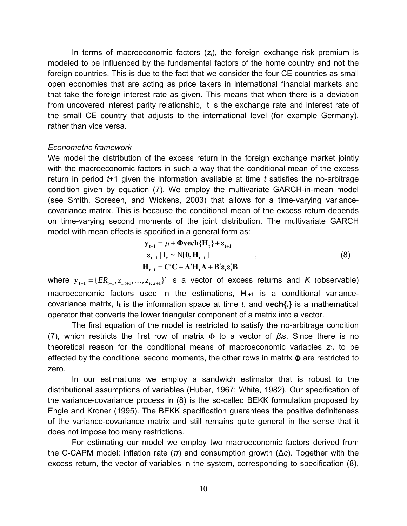In terms of macroeconomic factors (*zi*), the foreign exchange risk premium is modeled to be influenced by the fundamental factors of the home country and not the foreign countries. This is due to the fact that we consider the four CE countries as small open economies that are acting as price takers in international financial markets and that take the foreign interest rate as given. This means that when there is a deviation from uncovered interest parity relationship, it is the exchange rate and interest rate of the small CE country that adjusts to the international level (for example Germany), rather than vice versa.

## *Econometric framework*

We model the distribution of the excess return in the foreign exchange market jointly with the macroeconomic factors in such a way that the conditional mean of the excess return in period *t*+1 given the information available at time *t* satisfies the no-arbitrage condition given by equation (7). We employ the multivariate GARCH-in-mean model (see Smith, Soresen, and Wickens, 2003) that allows for a time-varying variancecovariance matrix. This is because the conditional mean of the excess return depends on time-varying second moments of the joint distribution. The multivariate GARCH model with mean effects is specified in a general form as:

$$
y_{t+1} = \mu + \Phi \text{vech} \{H_t\} + \varepsilon_{t+1}
$$
  
\n
$$
\varepsilon_{t+1} | I_t \sim N[0, H_{t+1}]
$$
  
\n
$$
H_{t+1} = C'C + A'H_tA + B'\varepsilon_t \varepsilon_t'B
$$
\n(8)

where  ${\bf y}_{t+1} = \{ER_{t+1}, z_{1,t+1},...,z_{K,t+1}\}$  is a vector of excess returns and *K* (observable) macroeconomic factors used in the estimations,  $H_{t+1}$  is a conditional variancecovariance matrix, **It** is the information space at time *t*, and **vech{.}** is a mathematical operator that converts the lower triangular component of a matrix into a vector.

The first equation of the model is restricted to satisfy the no-arbitrage condition (7), which restricts the first row of matrix to a vector of *βi*s. Since there is no theoretical reason for the conditional means of macroeconomic variables *zi,t* to be affected by the conditional second moments, the other rows in matrix  $\Phi$  are restricted to zero.

In our estimations we employ a sandwich estimator that is robust to the distributional assumptions of variables (Huber, 1967; White, 1982). Our specification of the variance-covariance process in (8) is the so-called BEKK formulation proposed by Engle and Kroner (1995). The BEKK specification guarantees the positive definiteness of the variance-covariance matrix and still remains quite general in the sense that it does not impose too many restrictions.

For estimating our model we employ two macroeconomic factors derived from the C-CAPM model: inflation rate (*π*) and consumption growth (∆*c*). Together with the excess return, the vector of variables in the system, corresponding to specification (8),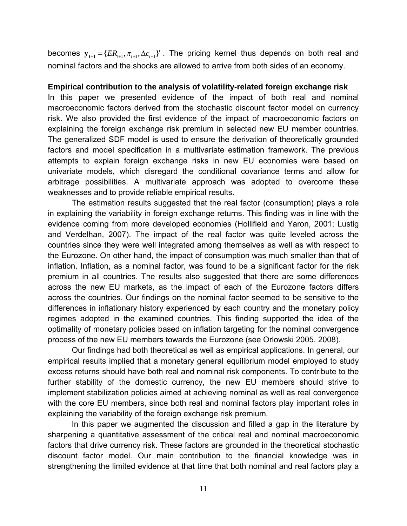becomes  $y_{t+1} = \{ER_{t+1}, \pi_{t+1}, \Delta c_{t+1}\}$ . The pricing kernel thus depends on both real and nominal factors and the shocks are allowed to arrive from both sides of an economy.

#### **Empirical contribution to the analysis of volatility-related foreign exchange risk**

In this paper we presented evidence of the impact of both real and nominal macroeconomic factors derived from the stochastic discount factor model on currency risk. We also provided the first evidence of the impact of macroeconomic factors on explaining the foreign exchange risk premium in selected new EU member countries. The generalized SDF model is used to ensure the derivation of theoretically grounded factors and model specification in a multivariate estimation framework. The previous attempts to explain foreign exchange risks in new EU economies were based on univariate models, which disregard the conditional covariance terms and allow for arbitrage possibilities. A multivariate approach was adopted to overcome these weaknesses and to provide reliable empirical results.

The estimation results suggested that the real factor (consumption) plays a role in explaining the variability in foreign exchange returns. This finding was in line with the evidence coming from more developed economies (Hollifield and Yaron, 2001; Lustig and Verdelhan, 2007). The impact of the real factor was quite leveled across the countries since they were well integrated among themselves as well as with respect to the Eurozone. On other hand, the impact of consumption was much smaller than that of inflation. Inflation, as a nominal factor, was found to be a significant factor for the risk premium in all countries. The results also suggested that there are some differences across the new EU markets, as the impact of each of the Eurozone factors differs across the countries. Our findings on the nominal factor seemed to be sensitive to the differences in inflationary history experienced by each country and the monetary policy regimes adopted in the examined countries. This finding supported the idea of the optimality of monetary policies based on inflation targeting for the nominal convergence process of the new EU members towards the Eurozone (see Orlowski 2005, 2008).

Our findings had both theoretical as well as empirical applications. In general, our empirical results implied that a monetary general equilibrium model employed to study excess returns should have both real and nominal risk components. To contribute to the further stability of the domestic currency, the new EU members should strive to implement stabilization policies aimed at achieving nominal as well as real convergence with the core EU members, since both real and nominal factors play important roles in explaining the variability of the foreign exchange risk premium.

In this paper we augmented the discussion and filled a gap in the literature by sharpening a quantitative assessment of the critical real and nominal macroeconomic factors that drive currency risk. These factors are grounded in the theoretical stochastic discount factor model. Our main contribution to the financial knowledge was in strengthening the limited evidence at that time that both nominal and real factors play a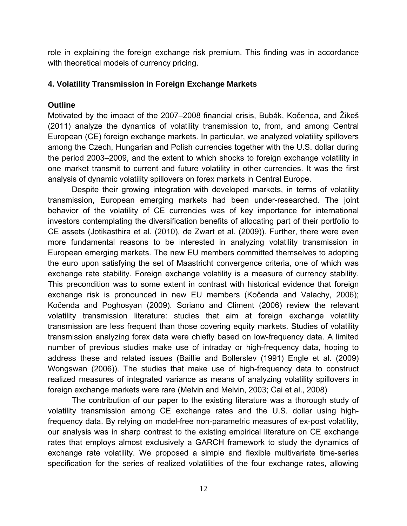role in explaining the foreign exchange risk premium. This finding was in accordance with theoretical models of currency pricing.

## **4. Volatility Transmission in Foreign Exchange Markets**

## **Outline**

Motivated by the impact of the 2007–2008 financial crisis, Bubák, Kočenda, and Žikeš (2011) analyze the dynamics of volatility transmission to, from, and among Central European (CE) foreign exchange markets. In particular, we analyzed volatility spillovers among the Czech, Hungarian and Polish currencies together with the U.S. dollar during the period 2003–2009, and the extent to which shocks to foreign exchange volatility in one market transmit to current and future volatility in other currencies. It was the first analysis of dynamic volatility spillovers on forex markets in Central Europe.

Despite their growing integration with developed markets, in terms of volatility transmission, European emerging markets had been under-researched. The joint behavior of the volatility of CE currencies was of key importance for international investors contemplating the diversification benefits of allocating part of their portfolio to CE assets (Jotikasthira et al. (2010), de Zwart et al. (2009)). Further, there were even more fundamental reasons to be interested in analyzing volatility transmission in European emerging markets. The new EU members committed themselves to adopting the euro upon satisfying the set of Maastricht convergence criteria, one of which was exchange rate stability. Foreign exchange volatility is a measure of currency stability. This precondition was to some extent in contrast with historical evidence that foreign exchange risk is pronounced in new EU members (Kočenda and Valachy, 2006); Kočenda and Poghosyan (2009). Soriano and Climent (2006) review the relevant volatility transmission literature: studies that aim at foreign exchange volatility transmission are less frequent than those covering equity markets. Studies of volatility transmission analyzing forex data were chiefly based on low-frequency data. A limited number of previous studies make use of intraday or high-frequency data, hoping to address these and related issues (Baillie and Bollerslev (1991) Engle et al. (2009) Wongswan (2006)). The studies that make use of high-frequency data to construct realized measures of integrated variance as means of analyzing volatility spillovers in foreign exchange markets were rare (Melvin and Melvin, 2003; Cai et al., 2008)

The contribution of our paper to the existing literature was a thorough study of volatility transmission among CE exchange rates and the U.S. dollar using highfrequency data. By relying on model-free non-parametric measures of ex-post volatility, our analysis was in sharp contrast to the existing empirical literature on CE exchange rates that employs almost exclusively a GARCH framework to study the dynamics of exchange rate volatility. We proposed a simple and flexible multivariate time-series specification for the series of realized volatilities of the four exchange rates, allowing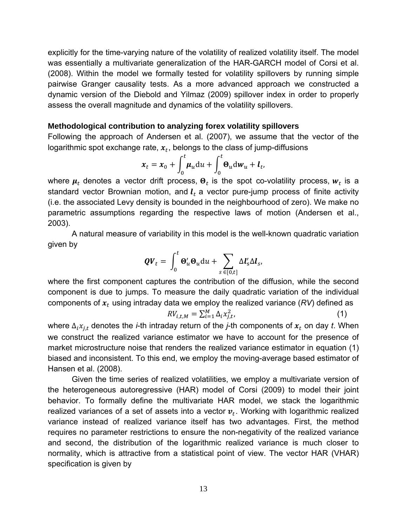explicitly for the time-varying nature of the volatility of realized volatility itself. The model was essentially a multivariate generalization of the HAR-GARCH model of Corsi et al. (2008). Within the model we formally tested for volatility spillovers by running simple pairwise Granger causality tests. As a more advanced approach we constructed a dynamic version of the Diebold and Yilmaz (2009) spillover index in order to properly assess the overall magnitude and dynamics of the volatility spillovers.

## **Methodological contribution to analyzing forex volatility spillovers**

Following the approach of Andersen et al. (2007), we assume that the vector of the logarithmic spot exchange rate,  $x_t$ , belongs to the class of jump-diffusions

$$
x_t = x_0 + \int_0^t \mu_u \mathrm{d}u + \int_0^t \Theta_u \mathrm{d}w_u + l_t,
$$

where  $\mu_t$  denotes a vector drift process,  $\Theta_t$  is the spot co-volatility process,  $w_t$  is a standard vector Brownian motion, and  $l_t$  a vector pure-jump process of finite activity (i.e. the associated Levy density is bounded in the neighbourhood of zero). We make no parametric assumptions regarding the respective laws of motion (Andersen et al., 2003).

A natural measure of variability in this model is the well-known quadratic variation given by

$$
\boldsymbol{Q}\boldsymbol{V}_t = \int_0^t \boldsymbol{\Theta}_u^{\prime} \boldsymbol{\Theta}_u \mathrm{d}u + \sum_{s \in [0,t]} \Delta \boldsymbol{l}_s^{\prime} \Delta \boldsymbol{l}_s,
$$

where the first component captures the contribution of the diffusion, while the second component is due to jumps. To measure the daily quadratic variation of the individual components of  $x_t$  using intraday data we employ the realized variance ( $RV$ ) defined as

$$
RV_{i,t,M} = \sum_{i=1}^{M} \Delta_i x_{j,t}^2,
$$
 (1)

where  $\Delta_i x_{j,t}$  denotes the *i*-th intraday return of the *j*-th components of  $x_t$  on day *t*. When we construct the realized variance estimator we have to account for the presence of market microstructure noise that renders the realized variance estimator in equation (1) biased and inconsistent. To this end, we employ the moving-average based estimator of Hansen et al. (2008).

Given the time series of realized volatilities, we employ a multivariate version of the heterogeneous autoregressive (HAR) model of Corsi (2009) to model their joint behavior. To formally define the multivariate HAR model, we stack the logarithmic realized variances of a set of assets into a vector  $v_t$ . Working with logarithmic realized variance instead of realized variance itself has two advantages. First, the method requires no parameter restrictions to ensure the non-negativity of the realized variance and second, the distribution of the logarithmic realized variance is much closer to normality, which is attractive from a statistical point of view. The vector HAR (VHAR) specification is given by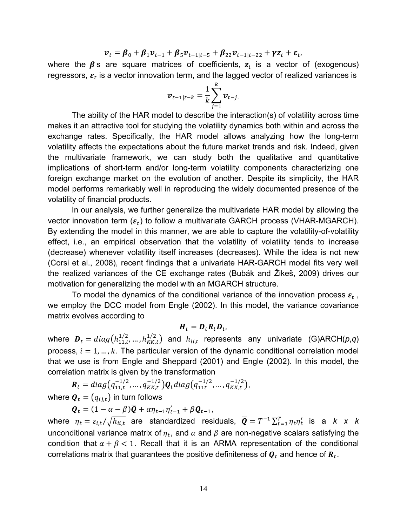$$
\boldsymbol{v}_t = \boldsymbol{\beta}_0 + \boldsymbol{\beta}_1 \boldsymbol{v}_{t-1} + \boldsymbol{\beta}_5 \boldsymbol{v}_{t-1|t-5} + \boldsymbol{\beta}_{22} \boldsymbol{v}_{t-1|t-22} + \gamma \boldsymbol{z}_t + \boldsymbol{\varepsilon}_t,
$$

where the  $\beta$  s are square matrices of coefficients,  $z_t$  is a vector of (exogenous) regressors,  $\varepsilon_t$  is a vector innovation term, and the lagged vector of realized variances is

$$
\boldsymbol{v}_{t-1|t-k} = \frac{1}{k} \sum_{j=1}^{k} \boldsymbol{v}_{t-j.}
$$

The ability of the HAR model to describe the interaction(s) of volatility across time makes it an attractive tool for studying the volatility dynamics both within and across the exchange rates. Specifically, the HAR model allows analyzing how the long-term volatility affects the expectations about the future market trends and risk. Indeed, given the multivariate framework, we can study both the qualitative and quantitative implications of short-term and/or long-term volatility components characterizing one foreign exchange market on the evolution of another. Despite its simplicity, the HAR model performs remarkably well in reproducing the widely documented presence of the volatility of financial products.

In our analysis, we further generalize the multivariate HAR model by allowing the vector innovation term  $(\varepsilon_t)$  to follow a multivariate GARCH process (VHAR-MGARCH). By extending the model in this manner, we are able to capture the volatility-of-volatility effect, i.e., an empirical observation that the volatility of volatility tends to increase (decrease) whenever volatility itself increases (decreases). While the idea is not new (Corsi et al., 2008), recent findings that a univariate HAR-GARCH model fits very well the realized variances of the CE exchange rates (Bubák and Žikeš, 2009) drives our motivation for generalizing the model with an MGARCH structure.

To model the dynamics of the conditional variance of the innovation process  $\varepsilon_t$ , we employ the DCC model from Engle (2002). In this model, the variance covariance matrix evolves according to

$$
\boldsymbol{H}_t = \boldsymbol{D}_t \boldsymbol{R}_t \boldsymbol{D}_t,
$$

where  $\bm{D}_t = diag(h_{11,t}^{1/2},...,h_{KK,t}^{1/2})$  and  $h_{ii,t}$  represents any univariate (G)ARCH( $p,q$ ) process,  $i = 1, ..., k$ . The particular version of the dynamic conditional correlation model that we use is from Engle and Sheppard (2001) and Engle (2002). In this model, the correlation matrix is given by the transformation

 $R_t = diag(q_{11,t}^{-1/2},...,q_{KK,t}^{-1/2})Q_t diag(q_{11t}^{-1/2},...,q_{KK,t}^{-1/2}),$ 

where  $\boldsymbol{Q}_t = (q_{i,i,t})$  in turn follows

$$
\boldsymbol{Q}_t = (1 - \alpha - \beta)\overline{\boldsymbol{Q}} + \alpha \eta_{t-1} \eta'_{t-1} + \beta \boldsymbol{Q}_{t-1},
$$

where  $\eta_t=\varepsilon_{i,t}/\sqrt{h_{ii,t}}$  are standardized residuals,  $\overline{\bm{Q}}=T^{-1}\sum_{t=1}^T \eta_t \eta_t'$  is a  $k$  x  $k$ unconditional variance matrix of  $\eta_t$ , and  $\alpha$  and  $\beta$  are non-negative scalars satisfying the condition that  $\alpha + \beta < 1$ . Recall that it is an ARMA representation of the conditional correlations matrix that guarantees the positive definiteness of  $\boldsymbol{Q}_t$  and hence of  $\boldsymbol{R}_t$ .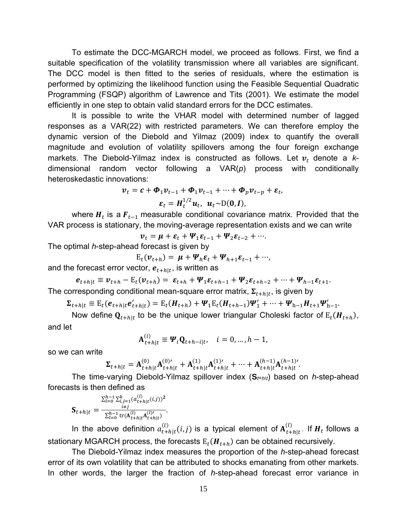To estimate the DCC-MGARCH model, we proceed as follows. First, we find a suitable specification of the volatility transmission where all variables are significant. The DCC model is then fitted to the series of residuals, where the estimation is performed by optimizing the likelihood function using the Feasible Sequential Quadratic Programming (FSQP) algorithm of Lawrence and Tits (2001). We estimate the model efficiently in one step to obtain valid standard errors for the DCC estimates.

It is possible to write the VHAR model with determined number of lagged responses as a VAR(22) with restricted parameters. We can therefore employ the dynamic version of the Diebold and Yilmaz (2009) index to quantify the overall magnitude and evolution of volatility spillovers among the four foreign exchange markets. The Diebold-Yilmaz index is constructed as follows. Let  $v_t$  denote a  $k$ dimensional random vector following a VAR(*p*) process with conditionally heteroskedastic innovations:

$$
\boldsymbol{v}_t = \boldsymbol{c} + \boldsymbol{\Phi}_1 \boldsymbol{v}_{t-1} + \boldsymbol{\Phi}_1 \boldsymbol{v}_{t-1} + \dots + \boldsymbol{\Phi}_p \boldsymbol{v}_{t-p} + \boldsymbol{\varepsilon}_t,
$$
  

$$
\boldsymbol{\varepsilon}_t = \boldsymbol{H}_t^{1/2} \boldsymbol{u}_t, \ \boldsymbol{u}_t \sim \mathcal{D}(\boldsymbol{0}, \boldsymbol{I}),
$$

where  $H_t$  is a  $F_{t-1}$  measurable conditional covariance matrix. Provided that the VAR process is stationary, the moving-average representation exists and we can write

$$
\boldsymbol{v}_t = \boldsymbol{\mu} + \boldsymbol{\varepsilon}_t + \boldsymbol{\varPsi}_1 \boldsymbol{\varepsilon}_{t-1} + \boldsymbol{\varPsi}_2 \boldsymbol{\varepsilon}_{t-2} + \cdots
$$

The optimal *h*-step-ahead forecast is given by

$$
E_t(\boldsymbol{v}_{t+h}) = \boldsymbol{\mu} + \boldsymbol{\varPsi}_h \boldsymbol{\varepsilon}_t + \boldsymbol{\varPsi}_{h+1} \boldsymbol{\varepsilon}_{t-1} + \cdots,
$$

and the forecast error vector,  $e_{t+h|t}$ , is written as

$$
e_{t+h|t} \equiv v_{t+h} - E_t(v_{t+h}) = \varepsilon_{t+h} + \Psi_1 \varepsilon_{t+h-1} + \Psi_2 \varepsilon_{t+h-2} + \dots + \Psi_{h-1} \varepsilon_{t+1}.
$$
  
The corresponding conditional mean-square error matrix,  $\Sigma_{t+h|t}$ , is given by

$$
\Sigma_{t+h|t} \equiv E_t(e_{t+h|t}e'_{t+h|t}) = E_t(H_{t+h}) + \Psi_1 E_t(H_{t+h-1})\Psi'_1 + \dots + \Psi_{h-1}H_{t+1}\Psi'_{h-1}.
$$

Now define  $\mathbf{Q}_{t+h|t}$  to be the unique lower triangular Choleski factor of  $E_t(\mathbf{H}_{t+h})$ , and let

$$
\mathbf{A}_{t+h|t}^{(i)} \equiv \mathbf{\Psi}_i \mathbf{Q}_{t+h-i|t}, \quad i = 0, \dots, h-1,
$$

so we can write

$$
\Sigma_{t+h|t} = \mathbf{A}_{t+h|t}^{(0)} \mathbf{A}_{t+h|t}^{(0)\prime} + \mathbf{A}_{t+h|t}^{(1)} \mathbf{A}_{t+h|t}^{(1)\prime} + \dots + \mathbf{A}_{t+h|t}^{(h-1)} \mathbf{A}_{t+h|t}^{(h-1)\prime}.
$$

The time-varying Diebold-Yilmaz spillover index (**S***t*+*h*׀*t*) based on *h*-step-ahead forecasts is then defined as

$$
\mathbf{S}_{t+h|t} = \frac{\sum_{l=0}^{h-1} \sum_{i,j=1}^{k} (a_{t+h|t}^{(l)}(i,j))^2}{\sum_{l=0}^{h-1} \text{tr}(\mathbf{A}_{t+h|t}^{(l)} \mathbf{A}_{t+h|t}^{(l)})}.
$$

In the above definition  $a_{t+h|t}^{(l)}(i,j)$  is a typical element of  $A_{t+h|t}^{(l)}$ . If  $H_t$  follows a stationary MGARCH process, the forecasts  $E_t(H_{t+h})$  can be obtained recursively.

The Diebold-Yilmaz index measures the proportion of the *h*-step-ahead forecast error of its own volatility that can be attributed to shocks emanating from other markets. In other words, the larger the fraction of *h*-step-ahead forecast error variance in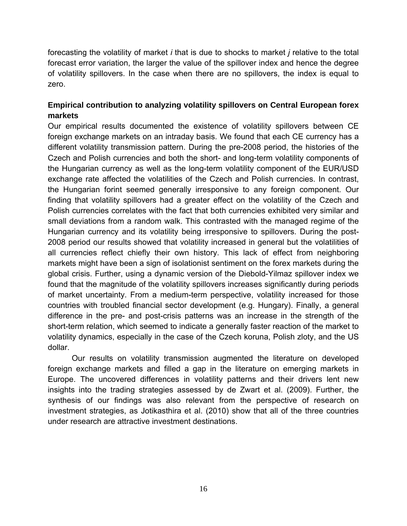forecasting the volatility of market *i* that is due to shocks to market *j* relative to the total forecast error variation, the larger the value of the spillover index and hence the degree of volatility spillovers. In the case when there are no spillovers, the index is equal to zero.

# **Empirical contribution to analyzing volatility spillovers on Central European forex markets**

Our empirical results documented the existence of volatility spillovers between CE foreign exchange markets on an intraday basis. We found that each CE currency has a different volatility transmission pattern. During the pre-2008 period, the histories of the Czech and Polish currencies and both the short- and long-term volatility components of the Hungarian currency as well as the long-term volatility component of the EUR/USD exchange rate affected the volatilities of the Czech and Polish currencies. In contrast, the Hungarian forint seemed generally irresponsive to any foreign component. Our finding that volatility spillovers had a greater effect on the volatility of the Czech and Polish currencies correlates with the fact that both currencies exhibited very similar and small deviations from a random walk. This contrasted with the managed regime of the Hungarian currency and its volatility being irresponsive to spillovers. During the post-2008 period our results showed that volatility increased in general but the volatilities of all currencies reflect chiefly their own history. This lack of effect from neighboring markets might have been a sign of isolationist sentiment on the forex markets during the global crisis. Further, using a dynamic version of the Diebold-Yilmaz spillover index we found that the magnitude of the volatility spillovers increases significantly during periods of market uncertainty. From a medium-term perspective, volatility increased for those countries with troubled financial sector development (e.g. Hungary). Finally, a general difference in the pre- and post-crisis patterns was an increase in the strength of the short-term relation, which seemed to indicate a generally faster reaction of the market to volatility dynamics, especially in the case of the Czech koruna, Polish zloty, and the US dollar.

Our results on volatility transmission augmented the literature on developed foreign exchange markets and filled a gap in the literature on emerging markets in Europe. The uncovered differences in volatility patterns and their drivers lent new insights into the trading strategies assessed by de Zwart et al. (2009). Further, the synthesis of our findings was also relevant from the perspective of research on investment strategies, as Jotikasthira et al. (2010) show that all of the three countries under research are attractive investment destinations.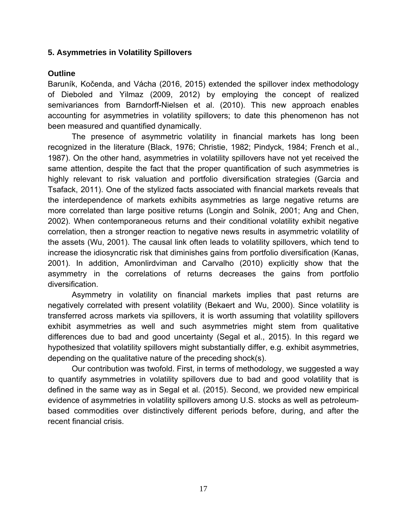## **5. Asymmetries in Volatility Spillovers**

## **Outline**

Baruník, Kočenda, and Vácha (2016, 2015) extended the spillover index methodology of Dieboled and Yilmaz (2009, 2012) by employing the concept of realized semivariances from Barndorff-Nielsen et al. (2010). This new approach enables accounting for asymmetries in volatility spillovers; to date this phenomenon has not been measured and quantified dynamically.

The presence of asymmetric volatility in financial markets has long been recognized in the literature (Black, 1976; Christie, 1982; Pindyck, 1984; French et al., 1987). On the other hand, asymmetries in volatility spillovers have not yet received the same attention, despite the fact that the proper quantification of such asymmetries is highly relevant to risk valuation and portfolio diversification strategies (Garcia and Tsafack, 2011). One of the stylized facts associated with financial markets reveals that the interdependence of markets exhibits asymmetries as large negative returns are more correlated than large positive returns (Longin and Solnik, 2001; Ang and Chen, 2002). When contemporaneous returns and their conditional volatility exhibit negative correlation, then a stronger reaction to negative news results in asymmetric volatility of the assets (Wu, 2001). The causal link often leads to volatility spillovers, which tend to increase the idiosyncratic risk that diminishes gains from portfolio diversification (Kanas, 2001). In addition, Amonlirdviman and Carvalho (2010) explicitly show that the asymmetry in the correlations of returns decreases the gains from portfolio diversification.

Asymmetry in volatility on financial markets implies that past returns are negatively correlated with present volatility (Bekaert and Wu, 2000). Since volatility is transferred across markets via spillovers, it is worth assuming that volatility spillovers exhibit asymmetries as well and such asymmetries might stem from qualitative differences due to bad and good uncertainty (Segal et al., 2015). In this regard we hypothesized that volatility spillovers might substantially differ, e.g. exhibit asymmetries, depending on the qualitative nature of the preceding shock(s).

Our contribution was twofold. First, in terms of methodology, we suggested a way to quantify asymmetries in volatility spillovers due to bad and good volatility that is defined in the same way as in Segal et al. (2015). Second, we provided new empirical evidence of asymmetries in volatility spillovers among U.S. stocks as well as petroleumbased commodities over distinctively different periods before, during, and after the recent financial crisis.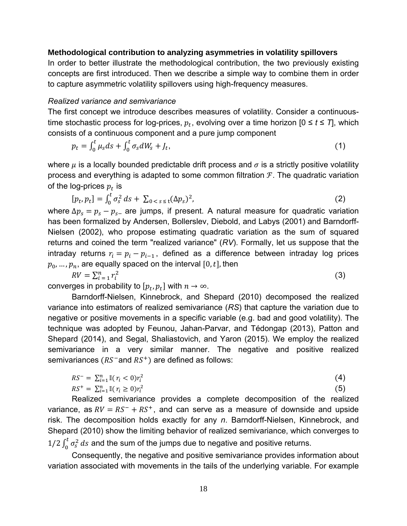### **Methodological contribution to analyzing asymmetries in volatility spillovers**

In order to better illustrate the methodological contribution, the two previously existing concepts are first introduced. Then we describe a simple way to combine them in order to capture asymmetric volatility spillovers using high-frequency measures.

#### *Realized variance and semivariance*

The first concept we introduce describes measures of volatility. Consider a continuoustime stochastic process for log-prices,  $p_t$ , evolving over a time horizon  $[0 \le t \le T]$ , which consists of a continuous component and a pure jump component

$$
p_t = \int_0^t \mu_s ds + \int_0^t \sigma_s dW_s + J_t,\tag{1}
$$

where  $\mu$  is a locally bounded predictable drift process and  $\sigma$  is a strictly positive volatility process and everything is adapted to some common filtration  $\mathcal F$ . The quadratic variation of the log-prices  $p_t$  is

$$
[p_t, p_t] = \int_0^t \sigma_s^2 \, ds + \sum_{0 < s \le t} (\Delta p_s)^2,\tag{2}
$$

where  $\Delta p_s = p_s - p_{s-}$  are jumps, if present. A natural measure for quadratic variation has been formalized by Andersen, Bollerslev, Diebold, and Labys (2001) and Barndorff-Nielsen (2002), who propose estimating quadratic variation as the sum of squared returns and coined the term "realized variance" (*RV*). Formally, let us suppose that the intraday returns  $r_i = p_i - p_{i-1}$ , defined as a difference between intraday log prices  $p_0, \ldots, p_n$ , are equally spaced on the interval [0, t], then

$$
RV = \sum_{i=1}^{n} r_i^2
$$
 (3)

converges in probability to  $[p_t, p_t]$  with  $n \to \infty$ .

Barndorff-Nielsen, Kinnebrock, and Shepard (2010) decomposed the realized variance into estimators of realized semivariance (*RS*) that capture the variation due to negative or positive movements in a specific variable (e.g. bad and good volatility). The technique was adopted by Feunou, Jahan-Parvar, and Tédongap (2013), Patton and Shepard (2014), and Segal, Shaliastovich, and Yaron (2015). We employ the realized semivariance in a very similar manner. The negative and positive realized semivariances  $(RS<sup>-</sup>$  and  $RS<sup>+</sup>)$  are defined as follows:

$$
RS^{-} = \sum_{i=1}^{n} \mathbb{I}(r_i < 0)r_i^2
$$
\n
$$
RS^{+} = \sum_{i=1}^{n} \mathbb{I}(r_i \ge 0)r_i^2
$$
\n(4)

Realized semivariance provides a complete decomposition of the realized variance, as  $RV = RS^{-} + RS^{+}$ , and can serve as a measure of downside and upside risk. The decomposition holds exactly for any *n*. Barndorff-Nielsen, Kinnebrock, and Shepard (2010) show the limiting behavior of realized semivariance, which converges to 1/2  $\int_0^t \sigma_s^2 ds$  and the sum of the jumps due to negative and positive returns.

Consequently, the negative and positive semivariance provides information about variation associated with movements in the tails of the underlying variable. For example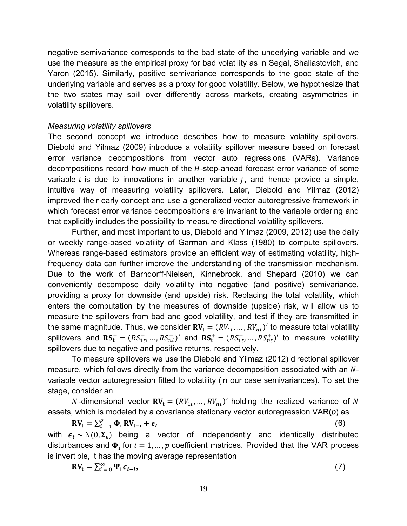negative semivariance corresponds to the bad state of the underlying variable and we use the measure as the empirical proxy for bad volatility as in Segal, Shaliastovich, and Yaron (2015). Similarly, positive semivariance corresponds to the good state of the underlying variable and serves as a proxy for good volatility. Below, we hypothesize that the two states may spill over differently across markets, creating asymmetries in volatility spillovers.

### *Measuring volatility spillovers*

The second concept we introduce describes how to measure volatility spillovers. Diebold and Yilmaz (2009) introduce a volatility spillover measure based on forecast error variance decompositions from vector auto regressions (VARs). Variance decompositions record how much of the  $H$ -step-ahead forecast error variance of some variable  $i$  is due to innovations in another variable  $j$ , and hence provide a simple, intuitive way of measuring volatility spillovers. Later, Diebold and Yilmaz (2012) improved their early concept and use a generalized vector autoregressive framework in which forecast error variance decompositions are invariant to the variable ordering and that explicitly includes the possibility to measure directional volatility spillovers.

Further, and most important to us, Diebold and Yilmaz (2009, 2012) use the daily or weekly range-based volatility of Garman and Klass (1980) to compute spillovers. Whereas range-based estimators provide an efficient way of estimating volatility, highfrequency data can further improve the understanding of the transmission mechanism. Due to the work of Barndorff-Nielsen, Kinnebrock, and Shepard (2010) we can conveniently decompose daily volatility into negative (and positive) semivariance, providing a proxy for downside (and upside) risk. Replacing the total volatility, which enters the computation by the measures of downside (upside) risk, will allow us to measure the spillovers from bad and good volatility, and test if they are transmitted in the same magnitude. Thus, we consider  $\mathbf{RV}_{\mathbf{t}} = (RV_{1t}, ..., RV_{nt})'$  to measure total volatility spillovers and  $\mathbf{RS}_{t}^- = (RS_{1t}^-, ..., RS_{nt}^+)'$  and  $\mathbf{RS}_{t}^+ = (RS_{1t}^+, ..., RS_{nt}^+)'$  to measure volatility spillovers due to negative and positive returns, respectively.

To measure spillovers we use the Diebold and Yilmaz (2012) directional spillover measure, which follows directly from the variance decomposition associated with an Nvariable vector autoregression fitted to volatility (in our case semivariances). To set the stage, consider an

N-dimensional vector  $\mathbf{R}V_t = (RV_{1t}, ..., RV_{nt})'$  holding the realized variance of N assets, which is modeled by a covariance stationary vector autoregression VAR(*p*) as

 $\mathbf{R} \mathbf{V}_{t} = \sum_{i=1}^{p} \mathbf{\Phi}_{i} \mathbf{R} \mathbf{V}_{t-i} + \boldsymbol{\epsilon}_{t}$  (6) with  $\epsilon_t \sim N(0, \Sigma_{\epsilon})$  being a vector of independently and identically distributed disturbances and  $\Phi_i$  for  $i = 1, ..., p$  coefficient matrices. Provided that the VAR process is invertible, it has the moving average representation

$$
RV_{t} = \sum_{i=0}^{\infty} \Psi_{i} \epsilon_{t-i},
$$
\n(7)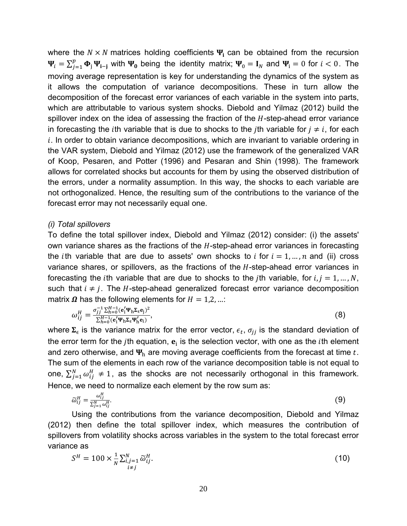where the  $N \times N$  matrices holding coefficients  $\Psi_i$  can be obtained from the recursion  $\Psi_i = \sum_{j=1}^p \Phi_j \Psi_{i-j}$  with  $\Psi_0$  being the identity matrix;  $\Psi_0 = I_N$  and  $\Psi_i = 0$  for  $i < 0$ . The moving average representation is key for understanding the dynamics of the system as it allows the computation of variance decompositions. These in turn allow the decomposition of the forecast error variances of each variable in the system into parts, which are attributable to various system shocks. Diebold and Yilmaz (2012) build the spillover index on the idea of assessing the fraction of the  $H$ -step-ahead error variance in forecasting the *i*th variable that is due to shocks to the *j*th variable for  $j \neq i$ , for each  $i.$  In order to obtain variance decompositions, which are invariant to variable ordering in the VAR system, Diebold and Yilmaz (2012) use the framework of the generalized VAR of Koop, Pesaren, and Potter (1996) and Pesaran and Shin (1998). The framework allows for correlated shocks but accounts for them by using the observed distribution of the errors, under a normality assumption. In this way, the shocks to each variable are not orthogonalized. Hence, the resulting sum of the contributions to the variance of the forecast error may not necessarily equal one.

#### *(i) Total spillovers*

To define the total spillover index, Diebold and Yilmaz (2012) consider: (i) the assets' own variance shares as the fractions of the  $H$ -step-ahead error variances in forecasting the *i*th variable that are due to assets' own shocks to *i* for  $i = 1, ..., n$  and (ii) cross variance shares, or spillovers, as the fractions of the  $H$ -step-ahead error variances in forecasting the *i*th variable that are due to shocks to the *j*th variable, for  $i, j = 1, ..., N$ , such that  $i \neq j$ . The H-step-ahead generalized forecast error variance decomposition matrix  $\Omega$  has the following elements for  $H = 1,2,...$ :

$$
\omega_{ij}^H = \frac{\sigma_{jj}^{-1} \Sigma_{h=0}^{H-1} (\mathbf{e}_i^t \mathbf{\Psi}_h \Sigma_\epsilon \mathbf{e}_j)^2}{\Sigma_{h=0}^{H-1} (\mathbf{e}_i^t \mathbf{\Psi}_h \Sigma_\epsilon \mathbf{\Psi}_h^t \mathbf{e}_i)},\tag{8}
$$

where  $\Sigma_{\epsilon}$  is the variance matrix for the error vector,  $\epsilon_t$ ,  $\sigma_{ij}$  is the standard deviation of the error term for the *j*th equation,  $e_i$  is the selection vector, with one as the *i*th element and zero otherwise, and  $\Psi_h$  are moving average coefficients from the forecast at time t. The sum of the elements in each row of the variance decomposition table is not equal to one,  $\sum_{j=1}^{N} \omega_{ij}^H \neq 1$ , as the shocks are not necessarily orthogonal in this framework. Hence, we need to normalize each element by the row sum as:

$$
\widetilde{\omega}_{ij}^H = \frac{\omega_{ij}^H}{\sum_{j=1}^N \omega_{ij}^H}.
$$
\n(9)

Using the contributions from the variance decomposition, Diebold and Yilmaz (2012) then define the total spillover index, which measures the contribution of spillovers from volatility shocks across variables in the system to the total forecast error variance as

$$
S^H = 100 \times \frac{1}{N} \sum_{\substack{i,j=1 \\ i \neq j}}^N \widetilde{\omega}_{ij}^H.
$$
 (10)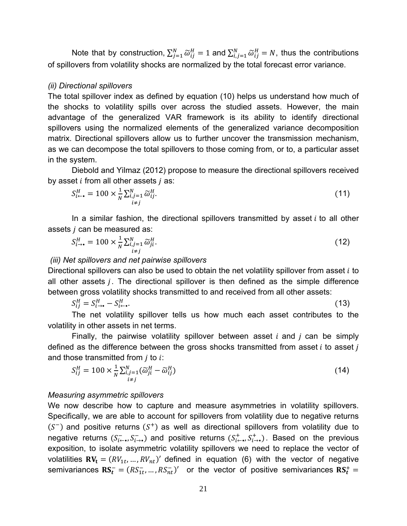Note that by construction,  $\sum_{j=1}^N \widetilde{\omega}_{ij}^H = 1$  and  $\sum_{i,j=1}^N \widetilde{\omega}_{ij}^H = N$ , thus the contributions of spillovers from volatility shocks are normalized by the total forecast error variance.

#### *(ii) Directional spillovers*

The total spillover index as defined by equation (10) helps us understand how much of the shocks to volatility spills over across the studied assets. However, the main advantage of the generalized VAR framework is its ability to identify directional spillovers using the normalized elements of the generalized variance decomposition matrix. Directional spillovers allow us to further uncover the transmission mechanism, as we can decompose the total spillovers to those coming from, or to, a particular asset in the system.

Diebold and Yilmaz (2012) propose to measure the directional spillovers received by asset  $i$  from all other assets  $j$  as:

$$
S_{i \leftarrow \bullet}^H = 100 \times \frac{1}{N} \sum_{\substack{i,j=1 \\ i \neq j}}^N \widetilde{\omega}_{ij}^H.
$$

In a similar fashion, the directional spillovers transmitted by asset  $i$  to all other assets  *can be measured as:* 

$$
S_{i\to\bullet}^H = 100 \times \frac{1}{N} \sum_{\substack{i,j=1\\i \neq j}}^N \widetilde{\omega}_{ji}^H.
$$
 (12)

#### *(iii) Net spillovers and net pairwise spillovers*

Directional spillovers can also be used to obtain the net volatility spillover from asset  $i$  to all other assets  $j$ . The directional spillover is then defined as the simple difference between gross volatility shocks transmitted to and received from all other assets:

$$
S_{ij}^H = S_{i \to \bullet}^H - S_{i \leftarrow \bullet}^H. \tag{13}
$$

The net volatility spillover tells us how much each asset contributes to the volatility in other assets in net terms.

Finally, the pairwise volatility spillover between asset  $i$  and  $j$  can be simply defined as the difference between the gross shocks transmitted from asset  $i$  to asset  $j$ and those transmitted from  $j$  to  $i$ :

$$
S_{ij}^H = 100 \times \frac{1}{N} \sum_{\substack{i,j=1 \ i \neq j}}^N (\widetilde{\omega}_{ji}^H - \widetilde{\omega}_{ij}^H) \tag{14}
$$

#### *Measuring asymmetric spillovers*

We now describe how to capture and measure asymmetries in volatility spillovers. Specifically, we are able to account for spillovers from volatility due to negative returns  $(S<sup>-</sup>)$  and positive returns  $(S<sup>+</sup>)$  as well as directional spillovers from volatility due to negative returns  $(S^-_{i\leftarrow}, S^-_{i\rightarrow})$  and positive returns  $(S^+_{i\leftarrow}, S^+_{i\rightarrow})$ . Based on the previous exposition, to isolate asymmetric volatility spillovers we need to replace the vector of volatilities  $\mathbf{RV_t} = (RV_{1t}, ..., RV_{nt})'$  defined in equation (6) with the vector of negative semivariances  $\mathbf{RS}_{t}^{-} = (RS_{1t}^{-}, ..., RS_{nt}^{-})'$  or the vector of positive semivariances  $\mathbf{RS}_{t}^{+} =$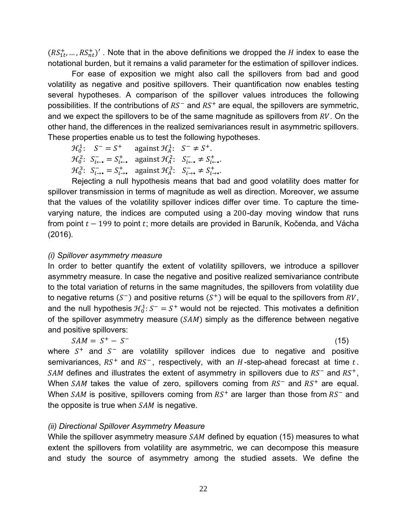$(RS_{1t}^{+},...,RS_{nt}^{+})'$ . Note that in the above definitions we dropped the H index to ease the notational burden, but it remains a valid parameter for the estimation of spillover indices.

For ease of exposition we might also call the spillovers from bad and good volatility as negative and positive spillovers. Their quantification now enables testing several hypotheses. A comparison of the spillover values introduces the following possibilities. If the contributions of  $RS^-$  and  $RS^+$  are equal, the spillovers are symmetric, and we expect the spillovers to be of the same magnitude as spillovers from  $RV$ . On the other hand, the differences in the realized semivariances result in asymmetric spillovers. These properties enable us to test the following hypotheses.

 $\mathcal{H}_0^1$ :  $S^- = S^+$  against  $\mathcal{H}_A^1$ :  $S^- \neq S^+$ .  $\mathcal{H}_0^2$ :  $S_{i \leftarrow \bullet}^- = S_{i \leftarrow \bullet}^+$  against  $\mathcal{H}_A^2$ :  $S_{i \leftarrow \bullet}^- \neq S_{i \leftarrow \bullet}^+$ .  $\mathcal{H}_0^3$ :  $S^-_{i\rightarrow \bullet} = S^+_{i\rightarrow \bullet}$  against  $\mathcal{H}_A^3$ :  $S^-_{i\rightarrow \bullet} \neq S^+_{i\rightarrow \bullet}$ .

Rejecting a null hypothesis means that bad and good volatility does matter for spillover transmission in terms of magnitude as well as direction. Moreover, we assume that the values of the volatility spillover indices differ over time. To capture the timevarying nature, the indices are computed using a 200-day moving window that runs from point  $t - 199$  to point t; more details are provided in Baruník, Kočenda, and Vácha (2016).

## *(i) Spillover asymmetry measure*

In order to better quantify the extent of volatility spillovers, we introduce a spillover asymmetry measure. In case the negative and positive realized semivariance contribute to the total variation of returns in the same magnitudes, the spillovers from volatility due to negative returns  $(S^-)$  and positive returns  $(S^+)$  will be equal to the spillovers from  $RV$ , and the null hypothesis  $H_0^1: S^- = S^+$  would not be rejected. This motivates a definition of the spillover asymmetry measure  $(SAM)$  simply as the difference between negative and positive spillovers:

$$
SAM = S^+ - S^- \tag{15}
$$

where  $S^+$  and  $S^-$  are volatility spillover indices due to negative and positive semivariances,  $RS^+$  and  $RS^-$ , respectively, with an H-step-ahead forecast at time t.  $SAM$  defines and illustrates the extent of asymmetry in spillovers due to  $RS^-$  and  $RS^+$ , When  $SAM$  takes the value of zero, spillovers coming from  $RS^-$  and  $RS^+$  are equal. When  $SAM$  is positive, spillovers coming from  $RS^+$  are larger than those from  $RS^-$  and the opposite is true when  $SAM$  is negative.

# *(ii) Directional Spillover Asymmetry Measure*

While the spillover asymmetry measure  $SAM$  defined by equation (15) measures to what extent the spillovers from volatility are asymmetric, we can decompose this measure and study the source of asymmetry among the studied assets. We define the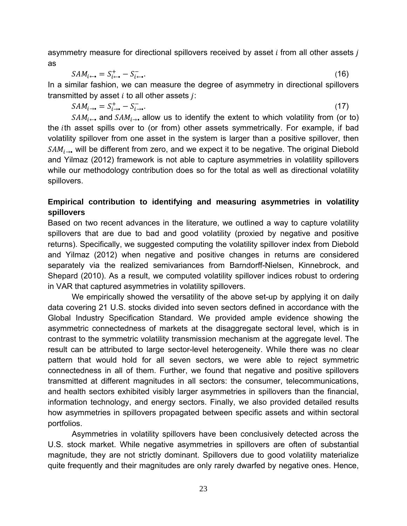asymmetry measure for directional spillovers received by asset  *from all other assets*  $*j*$ as

$$
SAM_{i \leftarrow \bullet} = S_{i \leftarrow \bullet}^{+} - S_{i \leftarrow \bullet}^{-}.
$$
\n(16)

In a similar fashion, we can measure the degree of asymmetry in directional spillovers transmitted by asset  $i$  to all other assets  $j$ :

$$
SAM_{i\rightarrow \bullet} = S_{i\rightarrow \bullet}^{+} - S_{i\rightarrow \bullet}^{-}.
$$
\n
$$
(17)
$$

 $SAM_{i\rightarrow}$  and  $SAM_{i\rightarrow}$  allow us to identify the extent to which volatility from (or to) the *i*th asset spills over to (or from) other assets symmetrically. For example, if bad volatility spillover from one asset in the system is larger than a positive spillover, then  $SAM_{i\rightarrow}$ , will be different from zero, and we expect it to be negative. The original Diebold and Yilmaz (2012) framework is not able to capture asymmetries in volatility spillovers while our methodology contribution does so for the total as well as directional volatility spillovers.

# **Empirical contribution to identifying and measuring asymmetries in volatility spillovers**

Based on two recent advances in the literature, we outlined a way to capture volatility spillovers that are due to bad and good volatility (proxied by negative and positive returns). Specifically, we suggested computing the volatility spillover index from Diebold and Yilmaz (2012) when negative and positive changes in returns are considered separately via the realized semivariances from Barndorff-Nielsen, Kinnebrock, and Shepard (2010). As a result, we computed volatility spillover indices robust to ordering in VAR that captured asymmetries in volatility spillovers.

We empirically showed the versatility of the above set-up by applying it on daily data covering 21 U.S. stocks divided into seven sectors defined in accordance with the Global Industry Specification Standard. We provided ample evidence showing the asymmetric connectedness of markets at the disaggregate sectoral level, which is in contrast to the symmetric volatility transmission mechanism at the aggregate level. The result can be attributed to large sector-level heterogeneity. While there was no clear pattern that would hold for all seven sectors, we were able to reject symmetric connectedness in all of them. Further, we found that negative and positive spillovers transmitted at different magnitudes in all sectors: the consumer, telecommunications, and health sectors exhibited visibly larger asymmetries in spillovers than the financial, information technology, and energy sectors. Finally, we also provided detailed results how asymmetries in spillovers propagated between specific assets and within sectoral portfolios.

Asymmetries in volatility spillovers have been conclusively detected across the U.S. stock market. While negative asymmetries in spillovers are often of substantial magnitude, they are not strictly dominant. Spillovers due to good volatility materialize quite frequently and their magnitudes are only rarely dwarfed by negative ones. Hence,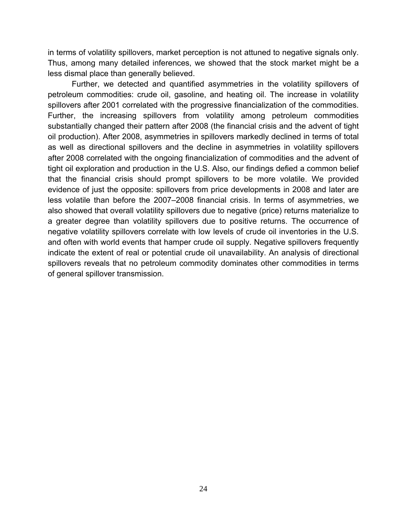in terms of volatility spillovers, market perception is not attuned to negative signals only. Thus, among many detailed inferences, we showed that the stock market might be a less dismal place than generally believed.

Further, we detected and quantified asymmetries in the volatility spillovers of petroleum commodities: crude oil, gasoline, and heating oil. The increase in volatility spillovers after 2001 correlated with the progressive financialization of the commodities. Further, the increasing spillovers from volatility among petroleum commodities substantially changed their pattern after 2008 (the financial crisis and the advent of tight oil production). After 2008, asymmetries in spillovers markedly declined in terms of total as well as directional spillovers and the decline in asymmetries in volatility spillovers after 2008 correlated with the ongoing financialization of commodities and the advent of tight oil exploration and production in the U.S. Also, our findings defied a common belief that the financial crisis should prompt spillovers to be more volatile. We provided evidence of just the opposite: spillovers from price developments in 2008 and later are less volatile than before the 2007–2008 financial crisis. In terms of asymmetries, we also showed that overall volatility spillovers due to negative (price) returns materialize to a greater degree than volatility spillovers due to positive returns. The occurrence of negative volatility spillovers correlate with low levels of crude oil inventories in the U.S. and often with world events that hamper crude oil supply. Negative spillovers frequently indicate the extent of real or potential crude oil unavailability. An analysis of directional spillovers reveals that no petroleum commodity dominates other commodities in terms of general spillover transmission.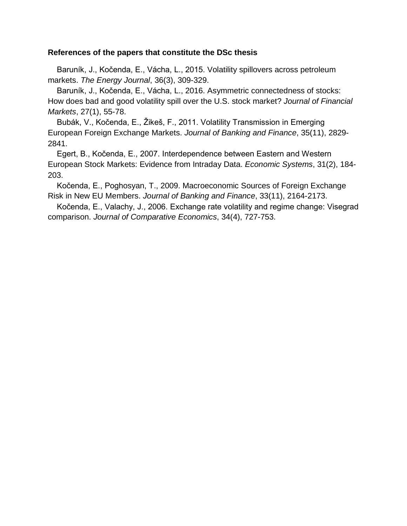### **References of the papers that constitute the DSc thesis**

 Baruník, J., Kočenda, E., Vácha, L., 2015. Volatility spillovers across petroleum markets. *The Energy Journal*, 36(3), 309-329.

 Baruník, J., Kočenda, E., Vácha, L., 2016. Asymmetric connectedness of stocks: How does bad and good volatility spill over the U.S. stock market? *Journal of Financial Markets*, 27(1), 55-78.

 Bubák, V., Kočenda, E., Žikeš, F., 2011. Volatility Transmission in Emerging European Foreign Exchange Markets. *Journal of Banking and Finance*, 35(11), 2829- 2841.

 Egert, B., Kočenda, E., 2007. Interdependence between Eastern and Western European Stock Markets: Evidence from Intraday Data. *Economic Systems*, 31(2), 184- 203.

 Kočenda, E., Poghosyan, T., 2009. Macroeconomic Sources of Foreign Exchange Risk in New EU Members. *Journal of Banking and Finance*, 33(11), 2164-2173.

 Kočenda, E., Valachy, J., 2006. Exchange rate volatility and regime change: Visegrad comparison. *Journal of Comparative Economics*, 34(4), 727-753.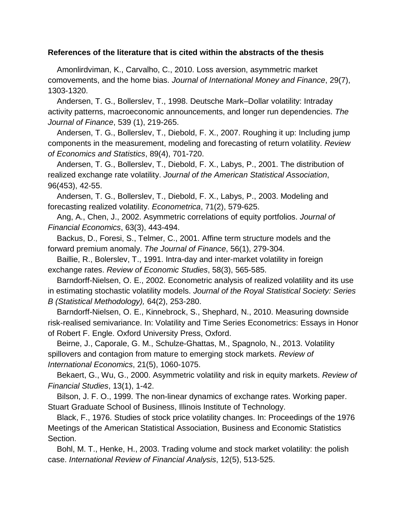### **References of the literature that is cited within the abstracts of the thesis**

 Amonlirdviman, K., Carvalho, C., 2010. Loss aversion, asymmetric market comovements, and the home bias. *Journal of International Money and Finance*, 29(7), 1303-1320.

 Andersen, T. G., Bollerslev, T., 1998. Deutsche Mark–Dollar volatility: Intraday activity patterns, macroeconomic announcements, and longer run dependencies. *The Journal of Finance*, 539 (1), 219-265.

 Andersen, T. G., Bollerslev, T., Diebold, F. X., 2007. Roughing it up: Including jump components in the measurement, modeling and forecasting of return volatility. *Review of Economics and Statistics*, 89(4), 701-720.

 Andersen, T. G., Bollerslev, T., Diebold, F. X., Labys, P., 2001. The distribution of realized exchange rate volatility. *Journal of the American Statistical Association*, 96(453), 42-55.

 Andersen, T. G., Bollerslev, T., Diebold, F. X., Labys, P., 2003. Modeling and forecasting realized volatility. *Econometrica*, 71(2), 579-625.

 Ang, A., Chen, J., 2002. Asymmetric correlations of equity portfolios. *Journal of Financial Economics*, 63(3), 443-494.

 Backus, D., Foresi, S., Telmer, C., 2001. Affine term structure models and the forward premium anomaly. *The Journal of Finance*, 56(1), 279-304.

 Baillie, R., Bolerslev, T., 1991. Intra-day and inter-market volatility in foreign exchange rates. *Review of Economic Studies*, 58(3), 565-585.

 Barndorff-Nielsen, O. E., 2002. Econometric analysis of realized volatility and its use in estimating stochastic volatility models. *Journal of the Royal Statistical Society: Series* 

*B (Statistical Methodology),* 64(2), 253-280.

 Barndorff-Nielsen, O. E., Kinnebrock, S., Shephard, N., 2010. Measuring downside risk-realised semivariance. In: Volatility and Time Series Econometrics: Essays in Honor of Robert F. Engle. Oxford University Press, Oxford.

 Beirne, J., Caporale, G. M., Schulze-Ghattas, M., Spagnolo, N., 2013. Volatility spillovers and contagion from mature to emerging stock markets. *Review of International Economics*, 21(5), 1060-1075.

 Bekaert, G., Wu, G., 2000. Asymmetric volatility and risk in equity markets. *Review of Financial Studies*, 13(1), 1-42.

 Bilson, J. F. O., 1999. The non-linear dynamics of exchange rates. Working paper. Stuart Graduate School of Business, Illinois Institute of Technology.

 Black, F., 1976. Studies of stock price volatility changes. In: Proceedings of the 1976 Meetings of the American Statistical Association, Business and Economic Statistics Section.

 Bohl, M. T., Henke, H., 2003. Trading volume and stock market volatility: the polish case. *International Review of Financial Analysis*, 12(5), 513-525.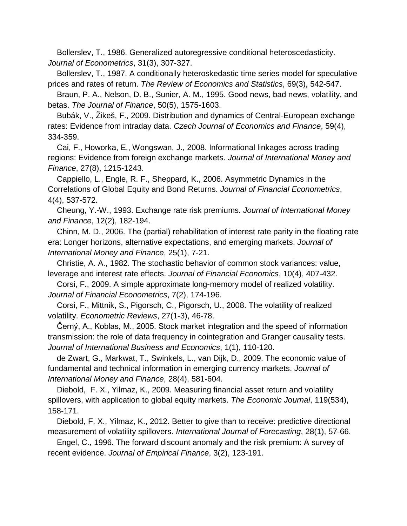Bollerslev, T., 1986. Generalized autoregressive conditional heteroscedasticity. *Journal of Econometrics*, 31(3), 307-327.

 Bollerslev, T., 1987. A conditionally heteroskedastic time series model for speculative prices and rates of return. *The Review of Economics and Statistics*, 69(3), 542-547.

 Braun, P. A., Nelson, D. B., Sunier, A. M., 1995. Good news, bad news, volatility, and betas. *The Journal of Finance*, 50(5), 1575-1603.

 Bubák, V., Žikeš, F., 2009. Distribution and dynamics of Central-European exchange rates: Evidence from intraday data. *Czech Journal of Economics and Finance*, 59(4), 334-359.

 Cai, F., Howorka, E., Wongswan, J., 2008. Informational linkages across trading regions: Evidence from foreign exchange markets. *Journal of International Money and Finance*, 27(8), 1215-1243.

 Cappiello, L., Engle, R. F., Sheppard, K., 2006. Asymmetric Dynamics in the Correlations of Global Equity and Bond Returns. *Journal of Financial Econometrics*, 4(4), 537-572.

 Cheung, Y.-W., 1993. Exchange rate risk premiums. *Journal of International Money and Finance*, 12(2), 182-194.

 Chinn, M. D., 2006. The (partial) rehabilitation of interest rate parity in the floating rate era: Longer horizons, alternative expectations, and emerging markets. *Journal of International Money and Finance*, 25(1), 7-21.

 Christie, A. A., 1982. The stochastic behavior of common stock variances: value, leverage and interest rate effects. *Journal of Financial Economics*, 10(4), 407-432.

 Corsi, F., 2009. A simple approximate long-memory model of realized volatility. *Journal of Financial Econometrics*, 7(2), 174-196.

 Corsi, F., Mittnik, S., Pigorsch, C., Pigorsch, U., 2008. The volatility of realized volatility. *Econometric Reviews*, 27(1-3), 46-78.

 Černý, A., Koblas, M., 2005. Stock market integration and the speed of information transmission: the role of data frequency in cointegration and Granger causality tests. *Journal of International Business and Economics*, 1(1), 110-120.

 de Zwart, G., Markwat, T., Swinkels, L., van Dijk, D., 2009. The economic value of fundamental and technical information in emerging currency markets. *Journal of International Money and Finance*, 28(4), 581-604.

 Diebold, F. X., Yilmaz, K., 2009. Measuring financial asset return and volatility spillovers, with application to global equity markets. *The Economic Journal*, 119(534), 158-171.

 Diebold, F. X., Yilmaz, K., 2012. Better to give than to receive: predictive directional measurement of volatility spillovers. *International Journal of Forecasting*, 28(1), 57-66.

 Engel, C., 1996. The forward discount anomaly and the risk premium: A survey of recent evidence. *Journal of Empirical Finance*, 3(2), 123-191.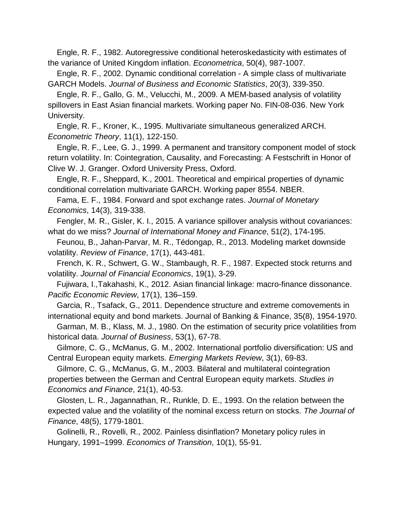Engle, R. F., 1982. Autoregressive conditional heteroskedasticity with estimates of the variance of United Kingdom inflation. *Econometrica*, 50(4), 987-1007.

 Engle, R. F., 2002. Dynamic conditional correlation - A simple class of multivariate GARCH Models. *Journal of Business and Economic Statistics*, 20(3), 339-350.

 Engle, R. F., Gallo, G. M., Velucchi, M., 2009. A MEM-based analysis of volatility spillovers in East Asian financial markets. Working paper No. FIN-08-036. New York University.

 Engle, R. F., Kroner, K., 1995. Multivariate simultaneous generalized ARCH. *Econometric Theory*, 11(1), 122-150.

 Engle, R. F., Lee, G. J., 1999. A permanent and transitory component model of stock return volatility. In: Cointegration, Causality, and Forecasting: A Festschrift in Honor of Clive W. J. Granger. Oxford University Press, Oxford.

 Engle, R. F., Sheppard, K., 2001. Theoretical and empirical properties of dynamic conditional correlation multivariate GARCH. Working paper 8554. NBER.

 Fama, E. F., 1984. Forward and spot exchange rates. *Journal of Monetary Economics*, 14(3), 319-338.

 Fengler, M. R., Gisler, K. I., 2015. A variance spillover analysis without covariances: what do we miss? *Journal of International Money and Finance*, 51(2), 174-195.

 Feunou, B., Jahan-Parvar, M. R., Tédongap, R., 2013. Modeling market downside volatility. *Review of Finance*, 17(1), 443-481.

 French, K. R., Schwert, G. W., Stambaugh, R. F., 1987. Expected stock returns and volatility. *Journal of Financial Economics*, 19(1), 3-29.

 Fujiwara, I.,Takahashi, K., 2012. Asian financial linkage: macro-finance dissonance. *Pacific Economic Review*, 17(1), 136–159.

 Garcia, R., Tsafack, G., 2011. Dependence structure and extreme comovements in international equity and bond markets. Journal of Banking & Finance, 35(8), 1954-1970.

 Garman, M. B., Klass, M. J., 1980. On the estimation of security price volatilities from historical data. *Journal of Business*, 53(1), 67-78.

 Gilmore, C. G., McManus, G. M., 2002. International portfolio diversification: US and Central European equity markets. *Emerging Markets Review*, 3(1), 69-83.

 Gilmore, C. G., McManus, G. M., 2003. Bilateral and multilateral cointegration properties between the German and Central European equity markets. *Studies in Economics and Finance*, 21(1), 40-53.

 Glosten, L. R., Jagannathan, R., Runkle, D. E., 1993. On the relation between the expected value and the volatility of the nominal excess return on stocks. *The Journal of Finance*, 48(5), 1779-1801.

 Golinelli, R., Rovelli, R., 2002. Painless disinflation? Monetary policy rules in Hungary, 1991–1999. *Economics of Transition*, 10(1), 55-91.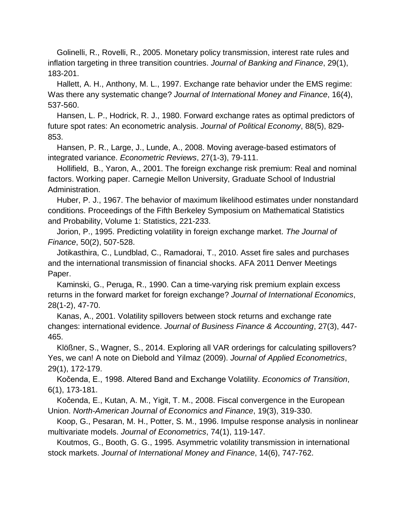Golinelli, R., Rovelli, R., 2005. Monetary policy transmission, interest rate rules and inflation targeting in three transition countries. *Journal of Banking and Finance*, 29(1), 183-201.

 Hallett, A. H., Anthony, M. L., 1997. Exchange rate behavior under the EMS regime: Was there any systematic change? *Journal of International Money and Finance*, 16(4), 537-560.

 Hansen, L. P., Hodrick, R. J., 1980. Forward exchange rates as optimal predictors of future spot rates: An econometric analysis. *Journal of Political Economy*, 88(5), 829- 853.

 Hansen, P. R., Large, J., Lunde, A., 2008. Moving average-based estimators of integrated variance. *Econometric Reviews*, 27(1-3), 79-111.

 Hollifield, B., Yaron, A., 2001. The foreign exchange risk premium: Real and nominal factors. Working paper. Carnegie Mellon University, Graduate School of Industrial Administration.

 Huber, P. J., 1967. The behavior of maximum likelihood estimates under nonstandard conditions. Proceedings of the Fifth Berkeley Symposium on Mathematical Statistics and Probability, Volume 1: Statistics, 221-233.

 Jorion, P., 1995. Predicting volatility in foreign exchange market. *The Journal of Finance*, 50(2), 507-528.

 Jotikasthira, C., Lundblad, C., Ramadorai, T., 2010. Asset fire sales and purchases and the international transmission of financial shocks. AFA 2011 Denver Meetings Paper.

 Kaminski, G., Peruga, R., 1990. Can a time-varying risk premium explain excess returns in the forward market for foreign exchange? *Journal of International Economics*, 28(1-2), 47-70.

 Kanas, A., 2001. Volatility spillovers between stock returns and exchange rate changes: international evidence. *Journal of Business Finance & Accounting*, 27(3), 447- 465.

 Klößner, S., Wagner, S., 2014. Exploring all VAR orderings for calculating spillovers? Yes, we can! A note on Diebold and Yilmaz (2009). *Journal of Applied Econometrics*, 29(1), 172-179.

 Kočenda, E., 1998. Altered Band and Exchange Volatility. *Economics of Transition*, 6(1), 173-181.

 Kočenda, E., Kutan, A. M., Yigit, T. M., 2008. Fiscal convergence in the European Union. *North-American Journal of Economics and Finance*, 19(3), 319-330.

 Koop, G., Pesaran, M. H., Potter, S. M., 1996. Impulse response analysis in nonlinear multivariate models. *Journal of Econometrics*, 74(1), 119-147.

 Koutmos, G., Booth, G. G., 1995. Asymmetric volatility transmission in international stock markets. *Journal of International Money and Finance*, 14(6), 747-762.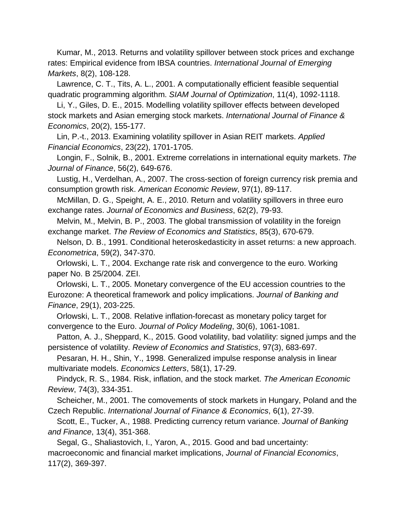Kumar, M., 2013. Returns and volatility spillover between stock prices and exchange rates: Empirical evidence from IBSA countries. *International Journal of Emerging Markets*, 8(2), 108-128.

 Lawrence, C. T., Tits, A. L., 2001. A computationally efficient feasible sequential quadratic programming algorithm. *SIAM Journal of Optimization*, 11(4), 1092-1118.

 Li, Y., Giles, D. E., 2015. Modelling volatility spillover effects between developed stock markets and Asian emerging stock markets. *International Journal of Finance & Economics*, 20(2), 155-177.

 Lin, P.-t., 2013. Examining volatility spillover in Asian REIT markets. *Applied Financial Economics*, 23(22), 1701-1705.

 Longin, F., Solnik, B., 2001. Extreme correlations in international equity markets. *The Journal of Finance*, 56(2), 649-676.

 Lustig, H., Verdelhan, A., 2007. The cross-section of foreign currency risk premia and consumption growth risk. *American Economic Review*, 97(1), 89-117.

 McMillan, D. G., Speight, A. E., 2010. Return and volatility spillovers in three euro exchange rates. *Journal of Economics and Business*, 62(2), 79-93.

 Melvin, M., Melvin, B. P., 2003. The global transmission of volatility in the foreign exchange market. *The Review of Economics and Statistics*, 85(3), 670-679.

 Nelson, D. B., 1991. Conditional heteroskedasticity in asset returns: a new approach. *Econometrica*, 59(2), 347-370.

 Orlowski, L. T., 2004. Exchange rate risk and convergence to the euro. Working paper No. B 25/2004. ZEI.

 Orlowski, L. T., 2005. Monetary convergence of the EU accession countries to the Eurozone: A theoretical framework and policy implications. *Journal of Banking and Finance*, 29(1), 203-225.

 Orlowski, L. T., 2008. Relative inflation-forecast as monetary policy target for convergence to the Euro. *Journal of Policy Modeling*, 30(6), 1061-1081.

 Patton, A. J., Sheppard, K., 2015. Good volatility, bad volatility: signed jumps and the persistence of volatility. *Review of Economics and Statistics*, 97(3), 683-697.

 Pesaran, H. H., Shin, Y., 1998. Generalized impulse response analysis in linear multivariate models. *Economics Letters*, 58(1), 17-29.

 Pindyck, R. S., 1984. Risk, inflation, and the stock market. *The American Economic Review*, 74(3), 334-351.

 Scheicher, M., 2001. The comovements of stock markets in Hungary, Poland and the Czech Republic. *International Journal of Finance & Economics*, 6(1), 27-39.

 Scott, E., Tucker, A., 1988. Predicting currency return variance. *Journal of Banking and Finance*, 13(4), 351-368.

 Segal, G., Shaliastovich, I., Yaron, A., 2015. Good and bad uncertainty: macroeconomic and financial market implications, *Journal of Financial Economics*, 117(2), 369-397.